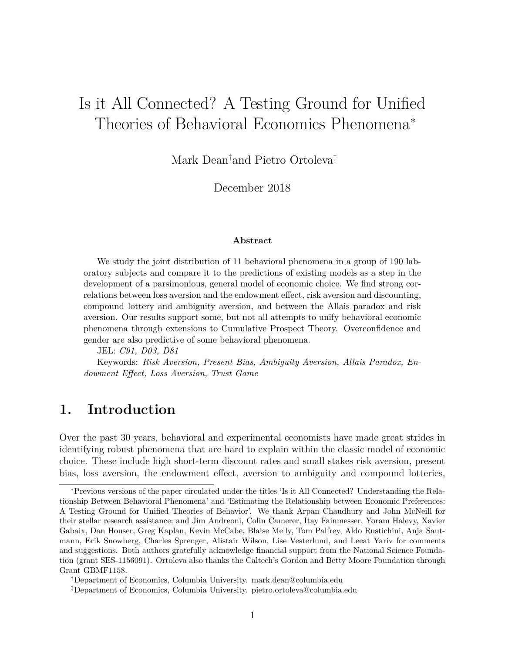# Is it All Connected? A Testing Ground for Unified Theories of Behavioral Economics Phenomena<sup>∗</sup>

Mark Dean†and Pietro Ortoleva‡

December 2018

#### **Abstract**

We study the joint distribution of 11 behavioral phenomena in a group of 190 laboratory subjects and compare it to the predictions of existing models as a step in the development of a parsimonious, general model of economic choice. We find strong correlations between loss aversion and the endowment effect, risk aversion and discounting, compound lottery and ambiguity aversion, and between the Allais paradox and risk aversion. Our results support some, but not all attempts to unify behavioral economic phenomena through extensions to Cumulative Prospect Theory. Overconfidence and gender are also predictive of some behavioral phenomena.

JEL: *C91, D03, D81*

Keywords: *Risk Aversion, Present Bias, Ambiguity Aversion, Allais Paradox, Endowment Effect, Loss Aversion, Trust Game*

### **1. Introduction**

Over the past 30 years, behavioral and experimental economists have made great strides in identifying robust phenomena that are hard to explain within the classic model of economic choice. These include high short-term discount rates and small stakes risk aversion, present bias, loss aversion, the endowment effect, aversion to ambiguity and compound lotteries,

<sup>∗</sup>Previous versions of the paper circulated under the titles 'Is it All Connected? Understanding the Relationship Between Behavioral Phenomena' and 'Estimating the Relationship between Economic Preferences: A Testing Ground for Unified Theories of Behavior'. We thank Arpan Chaudhury and John McNeill for their stellar research assistance; and Jim Andreoni, Colin Camerer, Itay Fainmesser, Yoram Halevy, Xavier Gabaix, Dan Houser, Greg Kaplan, Kevin McCabe, Blaise Melly, Tom Palfrey, Aldo Rustichini, Anja Sautmann, Erik Snowberg, Charles Sprenger, Alistair Wilson, Lise Vesterlund, and Leeat Yariv for comments and suggestions. Both authors gratefully acknowledge financial support from the National Science Foundation (grant SES-1156091). Ortoleva also thanks the Caltech's Gordon and Betty Moore Foundation through Grant GBMF1158.

<sup>†</sup>Department of Economics, Columbia University. mark.dean@columbia.edu

<sup>‡</sup>Department of Economics, Columbia University. pietro.ortoleva@columbia.edu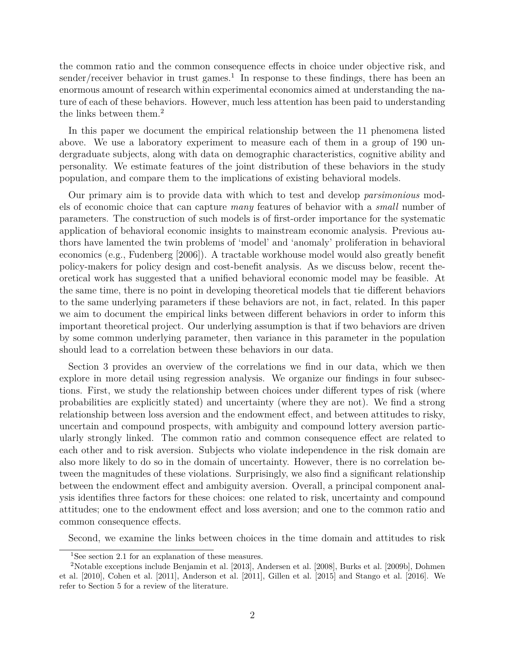the common ratio and the common consequence effects in choice under objective risk, and sender/receiver behavior in trust games.<sup>1</sup> In response to these findings, there has been an enormous amount of research within experimental economics aimed at understanding the nature of each of these behaviors. However, much less attention has been paid to understanding the links between them.<sup>2</sup>

In this paper we document the empirical relationship between the 11 phenomena listed above. We use a laboratory experiment to measure each of them in a group of 190 undergraduate subjects, along with data on demographic characteristics, cognitive ability and personality. We estimate features of the joint distribution of these behaviors in the study population, and compare them to the implications of existing behavioral models.

Our primary aim is to provide data with which to test and develop *parsimonious* models of economic choice that can capture *many* features of behavior with a *small* number of parameters. The construction of such models is of first-order importance for the systematic application of behavioral economic insights to mainstream economic analysis. Previous authors have lamented the twin problems of 'model' and 'anomaly' proliferation in behavioral economics (e.g., Fudenberg [2006]). A tractable workhouse model would also greatly benefit policy-makers for policy design and cost-benefit analysis. As we discuss below, recent theoretical work has suggested that a unified behavioral economic model may be feasible. At the same time, there is no point in developing theoretical models that tie different behaviors to the same underlying parameters if these behaviors are not, in fact, related. In this paper we aim to document the empirical links between different behaviors in order to inform this important theoretical project. Our underlying assumption is that if two behaviors are driven by some common underlying parameter, then variance in this parameter in the population should lead to a correlation between these behaviors in our data.

Section 3 provides an overview of the correlations we find in our data, which we then explore in more detail using regression analysis. We organize our findings in four subsections. First, we study the relationship between choices under different types of risk (where probabilities are explicitly stated) and uncertainty (where they are not). We find a strong relationship between loss aversion and the endowment effect, and between attitudes to risky, uncertain and compound prospects, with ambiguity and compound lottery aversion particularly strongly linked. The common ratio and common consequence effect are related to each other and to risk aversion. Subjects who violate independence in the risk domain are also more likely to do so in the domain of uncertainty. However, there is no correlation between the magnitudes of these violations. Surprisingly, we also find a significant relationship between the endowment effect and ambiguity aversion. Overall, a principal component analysis identifies three factors for these choices: one related to risk, uncertainty and compound attitudes; one to the endowment effect and loss aversion; and one to the common ratio and common consequence effects.

Second, we examine the links between choices in the time domain and attitudes to risk

<sup>&</sup>lt;sup>1</sup>See section 2.1 for an explanation of these measures.

<sup>2</sup>Notable exceptions include Benjamin et al. [2013], Andersen et al. [2008], Burks et al. [2009b], Dohmen et al. [2010], Cohen et al. [2011], Anderson et al. [2011], Gillen et al. [2015] and Stango et al. [2016]. We refer to Section 5 for a review of the literature.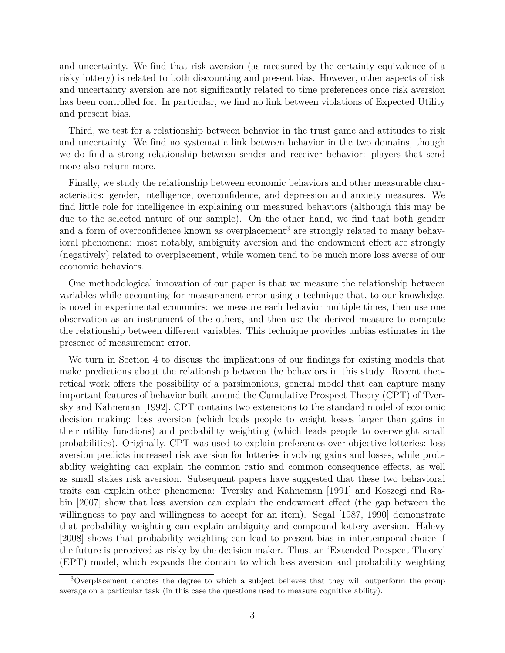and uncertainty. We find that risk aversion (as measured by the certainty equivalence of a risky lottery) is related to both discounting and present bias. However, other aspects of risk and uncertainty aversion are not significantly related to time preferences once risk aversion has been controlled for. In particular, we find no link between violations of Expected Utility and present bias.

Third, we test for a relationship between behavior in the trust game and attitudes to risk and uncertainty. We find no systematic link between behavior in the two domains, though we do find a strong relationship between sender and receiver behavior: players that send more also return more.

Finally, we study the relationship between economic behaviors and other measurable characteristics: gender, intelligence, overconfidence, and depression and anxiety measures. We find little role for intelligence in explaining our measured behaviors (although this may be due to the selected nature of our sample). On the other hand, we find that both gender and a form of overconfidence known as overplacement<sup>3</sup> are strongly related to many behavioral phenomena: most notably, ambiguity aversion and the endowment effect are strongly (negatively) related to overplacement, while women tend to be much more loss averse of our economic behaviors.

One methodological innovation of our paper is that we measure the relationship between variables while accounting for measurement error using a technique that, to our knowledge, is novel in experimental economics: we measure each behavior multiple times, then use one observation as an instrument of the others, and then use the derived measure to compute the relationship between different variables. This technique provides unbias estimates in the presence of measurement error.

We turn in Section 4 to discuss the implications of our findings for existing models that make predictions about the relationship between the behaviors in this study. Recent theoretical work offers the possibility of a parsimonious, general model that can capture many important features of behavior built around the Cumulative Prospect Theory (CPT) of Tversky and Kahneman [1992]. CPT contains two extensions to the standard model of economic decision making: loss aversion (which leads people to weight losses larger than gains in their utility functions) and probability weighting (which leads people to overweight small probabilities). Originally, CPT was used to explain preferences over objective lotteries: loss aversion predicts increased risk aversion for lotteries involving gains and losses, while probability weighting can explain the common ratio and common consequence effects, as well as small stakes risk aversion. Subsequent papers have suggested that these two behavioral traits can explain other phenomena: Tversky and Kahneman [1991] and Koszegi and Rabin [2007] show that loss aversion can explain the endowment effect (the gap between the willingness to pay and willingness to accept for an item). Segal [1987, 1990] demonstrate that probability weighting can explain ambiguity and compound lottery aversion. Halevy [2008] shows that probability weighting can lead to present bias in intertemporal choice if the future is perceived as risky by the decision maker. Thus, an 'Extended Prospect Theory' (EPT) model, which expands the domain to which loss aversion and probability weighting

<sup>3</sup>Overplacement denotes the degree to which a subject believes that they will outperform the group average on a particular task (in this case the questions used to measure cognitive ability).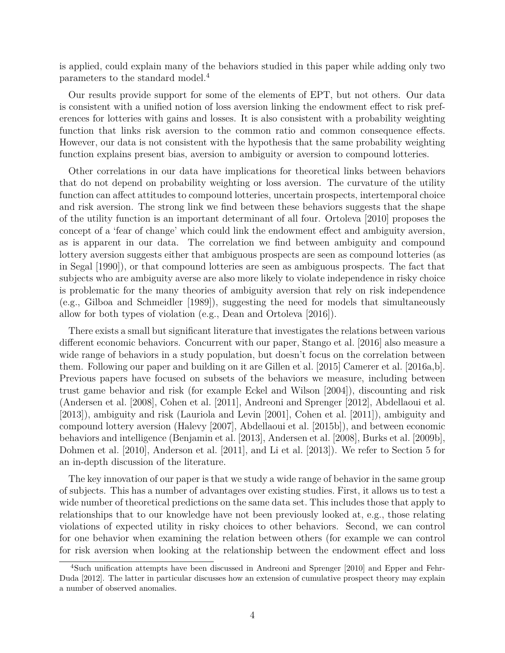is applied, could explain many of the behaviors studied in this paper while adding only two parameters to the standard model.<sup>4</sup>

Our results provide support for some of the elements of EPT, but not others. Our data is consistent with a unified notion of loss aversion linking the endowment effect to risk preferences for lotteries with gains and losses. It is also consistent with a probability weighting function that links risk aversion to the common ratio and common consequence effects. However, our data is not consistent with the hypothesis that the same probability weighting function explains present bias, aversion to ambiguity or aversion to compound lotteries.

Other correlations in our data have implications for theoretical links between behaviors that do not depend on probability weighting or loss aversion. The curvature of the utility function can affect attitudes to compound lotteries, uncertain prospects, intertemporal choice and risk aversion. The strong link we find between these behaviors suggests that the shape of the utility function is an important determinant of all four. Ortoleva [2010] proposes the concept of a 'fear of change' which could link the endowment effect and ambiguity aversion, as is apparent in our data. The correlation we find between ambiguity and compound lottery aversion suggests either that ambiguous prospects are seen as compound lotteries (as in Segal [1990]), or that compound lotteries are seen as ambiguous prospects. The fact that subjects who are ambiguity averse are also more likely to violate independence in risky choice is problematic for the many theories of ambiguity aversion that rely on risk independence (e.g., Gilboa and Schmeidler [1989]), suggesting the need for models that simultaneously allow for both types of violation (e.g., Dean and Ortoleva [2016]).

There exists a small but significant literature that investigates the relations between various different economic behaviors. Concurrent with our paper, Stango et al. [2016] also measure a wide range of behaviors in a study population, but doesn't focus on the correlation between them. Following our paper and building on it are Gillen et al. [2015] Camerer et al. [2016a,b]. Previous papers have focused on subsets of the behaviors we measure, including between trust game behavior and risk (for example Eckel and Wilson [2004]), discounting and risk (Andersen et al. [2008], Cohen et al. [2011], Andreoni and Sprenger [2012], Abdellaoui et al. [2013]), ambiguity and risk (Lauriola and Levin [2001], Cohen et al. [2011]), ambiguity and compound lottery aversion (Halevy [2007], Abdellaoui et al. [2015b]), and between economic behaviors and intelligence (Benjamin et al. [2013], Andersen et al. [2008], Burks et al. [2009b], Dohmen et al. [2010], Anderson et al. [2011], and Li et al. [2013]). We refer to Section 5 for an in-depth discussion of the literature.

The key innovation of our paper is that we study a wide range of behavior in the same group of subjects. This has a number of advantages over existing studies. First, it allows us to test a wide number of theoretical predictions on the same data set. This includes those that apply to relationships that to our knowledge have not been previously looked at, e.g., those relating violations of expected utility in risky choices to other behaviors. Second, we can control for one behavior when examining the relation between others (for example we can control for risk aversion when looking at the relationship between the endowment effect and loss

<sup>4</sup>Such unification attempts have been discussed in Andreoni and Sprenger [2010] and Epper and Fehr-Duda [2012]. The latter in particular discusses how an extension of cumulative prospect theory may explain a number of observed anomalies.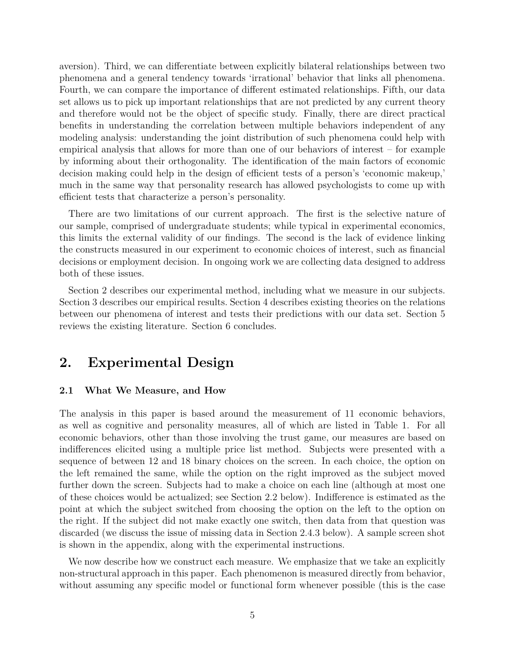aversion). Third, we can differentiate between explicitly bilateral relationships between two phenomena and a general tendency towards 'irrational' behavior that links all phenomena. Fourth, we can compare the importance of different estimated relationships. Fifth, our data set allows us to pick up important relationships that are not predicted by any current theory and therefore would not be the object of specific study. Finally, there are direct practical benefits in understanding the correlation between multiple behaviors independent of any modeling analysis: understanding the joint distribution of such phenomena could help with empirical analysis that allows for more than one of our behaviors of interest – for example by informing about their orthogonality. The identification of the main factors of economic decision making could help in the design of efficient tests of a person's 'economic makeup,' much in the same way that personality research has allowed psychologists to come up with efficient tests that characterize a person's personality.

There are two limitations of our current approach. The first is the selective nature of our sample, comprised of undergraduate students; while typical in experimental economics, this limits the external validity of our findings. The second is the lack of evidence linking the constructs measured in our experiment to economic choices of interest, such as financial decisions or employment decision. In ongoing work we are collecting data designed to address both of these issues.

Section 2 describes our experimental method, including what we measure in our subjects. Section 3 describes our empirical results. Section 4 describes existing theories on the relations between our phenomena of interest and tests their predictions with our data set. Section 5 reviews the existing literature. Section 6 concludes.

### **2. Experimental Design**

#### **2.1 What We Measure, and How**

The analysis in this paper is based around the measurement of 11 economic behaviors, as well as cognitive and personality measures, all of which are listed in Table 1. For all economic behaviors, other than those involving the trust game, our measures are based on indifferences elicited using a multiple price list method. Subjects were presented with a sequence of between 12 and 18 binary choices on the screen. In each choice, the option on the left remained the same, while the option on the right improved as the subject moved further down the screen. Subjects had to make a choice on each line (although at most one of these choices would be actualized; see Section 2.2 below). Indifference is estimated as the point at which the subject switched from choosing the option on the left to the option on the right. If the subject did not make exactly one switch, then data from that question was discarded (we discuss the issue of missing data in Section 2.4.3 below). A sample screen shot is shown in the appendix, along with the experimental instructions.

We now describe how we construct each measure. We emphasize that we take an explicitly non-structural approach in this paper. Each phenomenon is measured directly from behavior, without assuming any specific model or functional form whenever possible (this is the case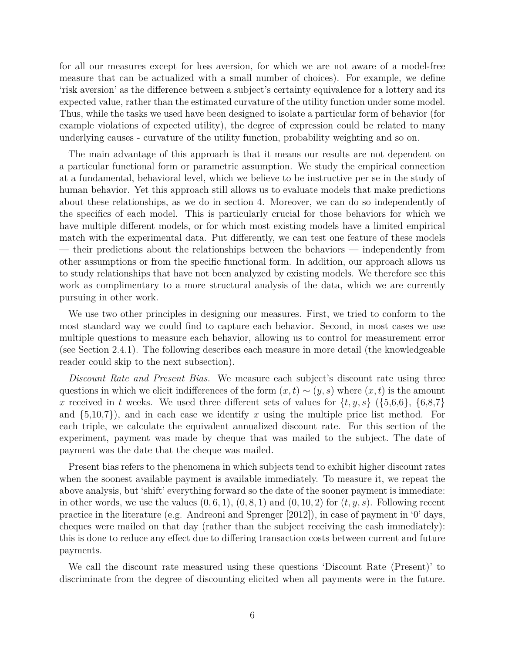for all our measures except for loss aversion, for which we are not aware of a model-free measure that can be actualized with a small number of choices). For example, we define 'risk aversion' as the difference between a subject's certainty equivalence for a lottery and its expected value, rather than the estimated curvature of the utility function under some model. Thus, while the tasks we used have been designed to isolate a particular form of behavior (for example violations of expected utility), the degree of expression could be related to many underlying causes - curvature of the utility function, probability weighting and so on.

The main advantage of this approach is that it means our results are not dependent on a particular functional form or parametric assumption. We study the empirical connection at a fundamental, behavioral level, which we believe to be instructive per se in the study of human behavior. Yet this approach still allows us to evaluate models that make predictions about these relationships, as we do in section 4. Moreover, we can do so independently of the specifics of each model. This is particularly crucial for those behaviors for which we have multiple different models, or for which most existing models have a limited empirical match with the experimental data. Put differently, we can test one feature of these models — their predictions about the relationships between the behaviors — independently from other assumptions or from the specific functional form. In addition, our approach allows us to study relationships that have not been analyzed by existing models. We therefore see this work as complimentary to a more structural analysis of the data, which we are currently pursuing in other work.

We use two other principles in designing our measures. First, we tried to conform to the most standard way we could find to capture each behavior. Second, in most cases we use multiple questions to measure each behavior, allowing us to control for measurement error (see Section 2.4.1). The following describes each measure in more detail (the knowledgeable reader could skip to the next subsection).

*Discount Rate and Present Bias.* We measure each subject's discount rate using three questions in which we elicit indifferences of the form  $(x,t) \sim (y,s)$  where  $(x,t)$  is the amount *x* received in *t* weeks. We used three different sets of values for  $\{t, y, s\}$  ( $\{5,6,6\}$ ,  $\{6,8,7\}$ ) and  $\{5,10,7\}$ , and in each case we identify x using the multiple price list method. For each triple, we calculate the equivalent annualized discount rate. For this section of the experiment, payment was made by cheque that was mailed to the subject. The date of payment was the date that the cheque was mailed.

Present bias refers to the phenomena in which subjects tend to exhibit higher discount rates when the soonest available payment is available immediately. To measure it, we repeat the above analysis, but 'shift' everything forward so the date of the sooner payment is immediate: in other words, we use the values  $(0, 6, 1)$ ,  $(0, 8, 1)$  and  $(0, 10, 2)$  for  $(t, y, s)$ . Following recent practice in the literature (e.g. Andreoni and Sprenger [2012]), in case of payment in '0' days, cheques were mailed on that day (rather than the subject receiving the cash immediately): this is done to reduce any effect due to differing transaction costs between current and future payments.

We call the discount rate measured using these questions 'Discount Rate (Present)' to discriminate from the degree of discounting elicited when all payments were in the future.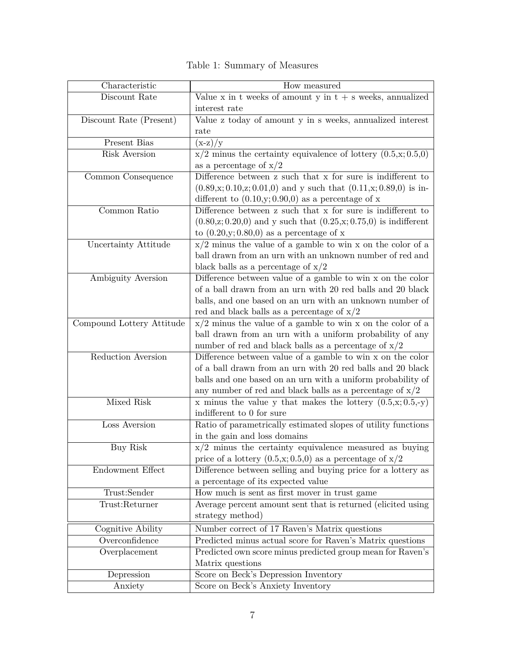| Characteristic            | How measured                                                                                |
|---------------------------|---------------------------------------------------------------------------------------------|
| Discount Rate             | Value x in t weeks of amount y in $t + s$ weeks, annualized                                 |
|                           | interest rate                                                                               |
| Discount Rate (Present)   | Value z today of amount y in s weeks, annualized interest                                   |
|                           | rate                                                                                        |
| Present Bias              | $(x-z)/y$                                                                                   |
| Risk Aversion             | $x/2$ minus the certainty equivalence of lottery $(0.5, x; 0.5, 0)$                         |
|                           | as a percentage of $x/2$                                                                    |
| Common Consequence        | Difference between z such that x for sure is indifferent to                                 |
|                           | $(0.89,\x; 0.10,\x; 0.01,0)$ and y such that $(0.11,\x; 0.89,0)$ is in-                     |
|                           | different to $(0.10, y; 0.90, 0)$ as a percentage of x                                      |
| Common Ratio              | Difference between z such that x for sure is indifferent to                                 |
|                           | $(0.80,\text{z};0.20,0)$ and y such that $(0.25,\text{x};0.75,0)$ is indifferent            |
|                           | to $(0.20, y; 0.80, 0)$ as a percentage of x                                                |
| Uncertainty Attitude      | $x/2$ minus the value of a gamble to win x on the color of a                                |
|                           | ball drawn from an urn with an unknown number of red and                                    |
|                           | black balls as a percentage of $x/2$                                                        |
| Ambiguity Aversion        | Difference between value of a gamble to win x on the color                                  |
|                           | of a ball drawn from an urn with 20 red balls and 20 black                                  |
|                           | balls, and one based on an urn with an unknown number of                                    |
|                           | red and black balls as a percentage of $x/2$                                                |
| Compound Lottery Attitude | $x/2$ minus the value of a gamble to win x on the color of a                                |
|                           | ball drawn from an urn with a uniform probability of any                                    |
|                           | number of red and black balls as a percentage of $x/2$                                      |
| Reduction Aversion        | Difference between value of a gamble to win x on the color                                  |
|                           | of a ball drawn from an urn with 20 red balls and 20 black                                  |
|                           | balls and one based on an urn with a uniform probability of                                 |
| Mixed Risk                | any number of red and black balls as a percentage of $x/2$                                  |
|                           | x minus the value y that makes the lottery $(0.5, x; 0.5, -y)$<br>indifferent to 0 for sure |
| Loss Aversion             |                                                                                             |
|                           | Ratio of parametrically estimated slopes of utility functions                               |
| <b>Buy Risk</b>           | in the gain and loss domains<br>$x/2$ minus the certainty equivalence measured as buying    |
|                           | price of a lottery $(0.5, x; 0.5, 0)$ as a percentage of $x/2$                              |
| Endowment Effect          | Difference between selling and buying price for a lottery as                                |
|                           | a percentage of its expected value                                                          |
| Trust:Sender              | How much is sent as first mover in trust game                                               |
| Trust:Returner            | Average percent amount sent that is returned (elicited using                                |
|                           | strategy method)                                                                            |
| Cognitive Ability         | Number correct of 17 Raven's Matrix questions                                               |
| Overconfidence            | Predicted minus actual score for Raven's Matrix questions                                   |
| Overplacement             | Predicted own score minus predicted group mean for Raven's                                  |
|                           | Matrix questions                                                                            |
| Depression                | Score on Beck's Depression Inventory                                                        |
| Anxiety                   | Score on Beck's Anxiety Inventory                                                           |
|                           |                                                                                             |

Table 1: Summary of Measures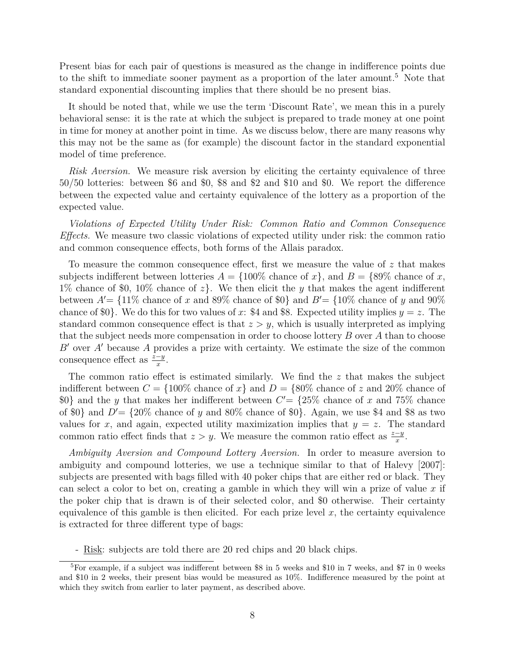Present bias for each pair of questions is measured as the change in indifference points due to the shift to immediate sooner payment as a proportion of the later amount.<sup>5</sup> Note that standard exponential discounting implies that there should be no present bias.

It should be noted that, while we use the term 'Discount Rate', we mean this in a purely behavioral sense: it is the rate at which the subject is prepared to trade money at one point in time for money at another point in time. As we discuss below, there are many reasons why this may not be the same as (for example) the discount factor in the standard exponential model of time preference.

*Risk Aversion.* We measure risk aversion by eliciting the certainty equivalence of three 50/50 lotteries: between \$6 and \$0, \$8 and \$2 and \$10 and \$0. We report the difference between the expected value and certainty equivalence of the lottery as a proportion of the expected value.

*Violations of Expected Utility Under Risk: Common Ratio and Common Consequence Effects.* We measure two classic violations of expected utility under risk: the common ratio and common consequence effects, both forms of the Allais paradox.

To measure the common consequence effect, first we measure the value of *z* that makes subjects indifferent between lotteries  $A = \{100\%$  chance of *x*, and  $B = \{89\%$  chance of *x*, 1% chance of \$0, 10% chance of *z*}. We then elicit the *y* that makes the agent indifferent between  $A' = \{11\%$  chance of x and 89% chance of \$0} and  $B' = \{10\%$  chance of y and 90% chance of \$0}. We do this for two values of x: \$4 and \$8. Expected utility implies  $y = z$ . The standard common consequence effect is that  $z > y$ , which is usually interpreted as implying that the subject needs more compensation in order to choose lottery *B* over *A* than to choose *B*<sup> $\prime$ </sup> over *A*<sup> $\prime$ </sup> because *A* provides a prize with certainty. We estimate the size of the common consequence effect as  $\frac{z-y}{x}$ .

The common ratio effect is estimated similarly. We find the *z* that makes the subject indifferent between  $C = \{100\% \text{ chance of } x\}$  and  $D = \{80\% \text{ chance of } z \text{ and } 20\% \text{ chance of } z\}$  $0\}$  and the *y* that makes her indifferent between  $C' = \{25\%$  chance of *x* and 75% chance of \$0} and  $D' = \{20\%$  chance of y and 80% chance of \$0}. Again, we use \$4 and \$8 as two values for *x*, and again, expected utility maximization implies that  $y = z$ . The standard common ratio effect finds that  $z > y$ . We measure the common ratio effect as  $\frac{z-y}{x}$ .

*Ambiguity Aversion and Compound Lottery Aversion.* In order to measure aversion to ambiguity and compound lotteries, we use a technique similar to that of Halevy [2007]: subjects are presented with bags filled with 40 poker chips that are either red or black. They can select a color to bet on, creating a gamble in which they will win a prize of value *x* if the poker chip that is drawn is of their selected color, and \$0 otherwise. Their certainty equivalence of this gamble is then elicited. For each prize level  $x$ , the certainty equivalence is extracted for three different type of bags:

- Risk: subjects are told there are 20 red chips and 20 black chips.

<sup>5</sup>For example, if a subject was indifferent between \$8 in 5 weeks and \$10 in 7 weeks, and \$7 in 0 weeks and \$10 in 2 weeks, their present bias would be measured as 10%. Indifference measured by the point at which they switch from earlier to later payment, as described above.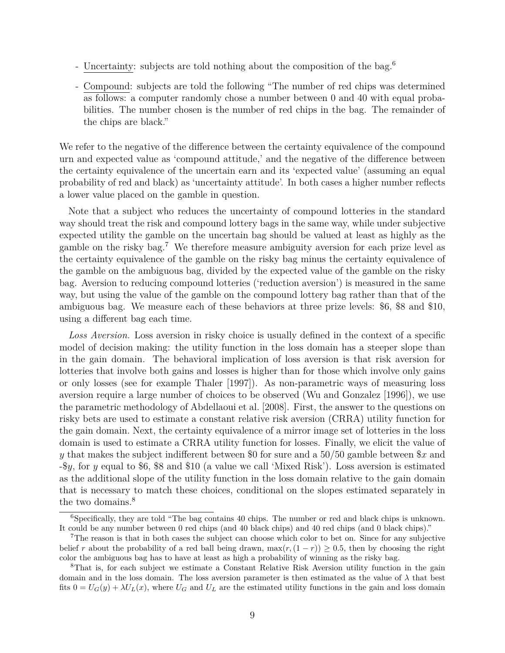- Uncertainty: subjects are told nothing about the composition of the bag.<sup>6</sup>
- Compound: subjects are told the following "The number of red chips was determined as follows: a computer randomly chose a number between 0 and 40 with equal probabilities. The number chosen is the number of red chips in the bag. The remainder of the chips are black."

We refer to the negative of the difference between the certainty equivalence of the compound urn and expected value as 'compound attitude,' and the negative of the difference between the certainty equivalence of the uncertain earn and its 'expected value' (assuming an equal probability of red and black) as 'uncertainty attitude'. In both cases a higher number reflects a lower value placed on the gamble in question.

Note that a subject who reduces the uncertainty of compound lotteries in the standard way should treat the risk and compound lottery bags in the same way, while under subjective expected utility the gamble on the uncertain bag should be valued at least as highly as the gamble on the risky bag.<sup>7</sup> We therefore measure ambiguity aversion for each prize level as the certainty equivalence of the gamble on the risky bag minus the certainty equivalence of the gamble on the ambiguous bag, divided by the expected value of the gamble on the risky bag. Aversion to reducing compound lotteries ('reduction aversion') is measured in the same way, but using the value of the gamble on the compound lottery bag rather than that of the ambiguous bag. We measure each of these behaviors at three prize levels: \$6, \$8 and \$10, using a different bag each time.

*Loss Aversion.* Loss aversion in risky choice is usually defined in the context of a specific model of decision making: the utility function in the loss domain has a steeper slope than in the gain domain. The behavioral implication of loss aversion is that risk aversion for lotteries that involve both gains and losses is higher than for those which involve only gains or only losses (see for example Thaler [1997]). As non-parametric ways of measuring loss aversion require a large number of choices to be observed (Wu and Gonzalez [1996]), we use the parametric methodology of Abdellaoui et al. [2008]. First, the answer to the questions on risky bets are used to estimate a constant relative risk aversion (CRRA) utility function for the gain domain. Next, the certainty equivalence of a mirror image set of lotteries in the loss domain is used to estimate a CRRA utility function for losses. Finally, we elicit the value of *y* that makes the subject indifferent between \$0 for sure and a 50/50 gamble between \$*x* and -\$*y*, for *y* equal to \$6, \$8 and \$10 (a value we call 'Mixed Risk'). Loss aversion is estimated as the additional slope of the utility function in the loss domain relative to the gain domain that is necessary to match these choices, conditional on the slopes estimated separately in the two domains.<sup>8</sup>

<sup>&</sup>lt;sup>6</sup>Specifically, they are told "The bag contains 40 chips. The number or red and black chips is unknown. It could be any number between 0 red chips (and 40 black chips) and 40 red chips (and 0 black chips)."

<sup>7</sup>The reason is that in both cases the subject can choose which color to bet on. Since for any subjective belief *r* about the probability of a red ball being drawn,  $\max(r,(1-r)) \geq 0.5$ , then by choosing the right color the ambiguous bag has to have at least as high a probability of winning as the risky bag.

<sup>8</sup>That is, for each subject we estimate a Constant Relative Risk Aversion utility function in the gain domain and in the loss domain. The loss aversion parameter is then estimated as the value of *λ* that best fits  $0 = U_G(y) + \lambda U_L(x)$ , where  $U_G$  and  $U_L$  are the estimated utility functions in the gain and loss domain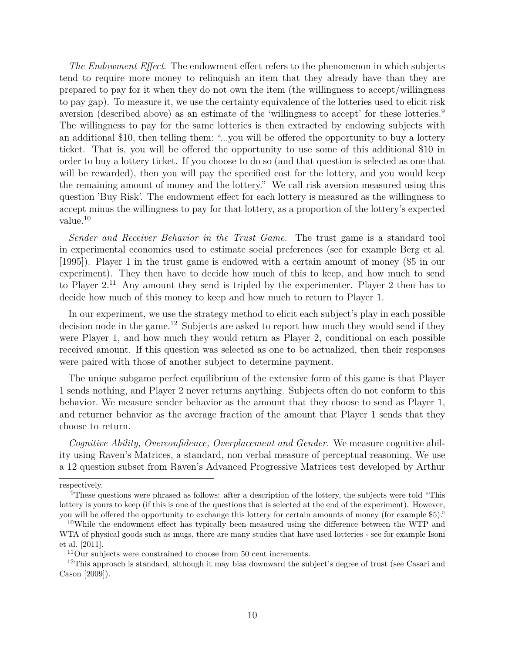*The Endowment Effect*. The endowment effect refers to the phenomenon in which subjects tend to require more money to relinquish an item that they already have than they are prepared to pay for it when they do not own the item (the willingness to accept/willingness to pay gap). To measure it, we use the certainty equivalence of the lotteries used to elicit risk aversion (described above) as an estimate of the 'willingness to accept' for these lotteries.<sup>9</sup> The willingness to pay for the same lotteries is then extracted by endowing subjects with an additional \$10, then telling them: "...you will be offered the opportunity to buy a lottery ticket. That is, you will be offered the opportunity to use some of this additional \$10 in order to buy a lottery ticket. If you choose to do so (and that question is selected as one that will be rewarded), then you will pay the specified cost for the lottery, and you would keep the remaining amount of money and the lottery." We call risk aversion measured using this question 'Buy Risk'. The endowment effect for each lottery is measured as the willingness to accept minus the willingness to pay for that lottery, as a proportion of the lottery's expected value.<sup>10</sup>

*Sender and Receiver Behavior in the Trust Game.* The trust game is a standard tool in experimental economics used to estimate social preferences (see for example Berg et al. [1995]). Player 1 in the trust game is endowed with a certain amount of money (\$5 in our experiment). They then have to decide how much of this to keep, and how much to send to Player 2.<sup>11</sup> Any amount they send is tripled by the experimenter. Player 2 then has to decide how much of this money to keep and how much to return to Player 1.

In our experiment, we use the strategy method to elicit each subject's play in each possible decision node in the game.<sup>12</sup> Subjects are asked to report how much they would send if they were Player 1, and how much they would return as Player 2, conditional on each possible received amount. If this question was selected as one to be actualized, then their responses were paired with those of another subject to determine payment.

The unique subgame perfect equilibrium of the extensive form of this game is that Player 1 sends nothing, and Player 2 never returns anything. Subjects often do not conform to this behavior. We measure sender behavior as the amount that they choose to send as Player 1, and returner behavior as the average fraction of the amount that Player 1 sends that they choose to return.

*Cognitive Ability, Overconfidence, Overplacement and Gender.* We measure cognitive ability using Raven's Matrices, a standard, non verbal measure of perceptual reasoning. We use a 12 question subset from Raven's Advanced Progressive Matrices test developed by Arthur

respectively.

<sup>9</sup>These questions were phrased as follows: after a description of the lottery, the subjects were told "This lottery is yours to keep (if this is one of the questions that is selected at the end of the experiment). However, you will be offered the opportunity to exchange this lottery for certain amounts of money (for example \$5)."

<sup>&</sup>lt;sup>10</sup>While the endowment effect has typically been measured using the difference between the WTP and WTA of physical goods such as mugs, there are many studies that have used lotteries - see for example Isoni et al. [2011].

 $11$ Our subjects were constrained to choose from 50 cent increments.

 $12$ This approach is standard, although it may bias downward the subject's degree of trust (see Casari and Cason [2009]).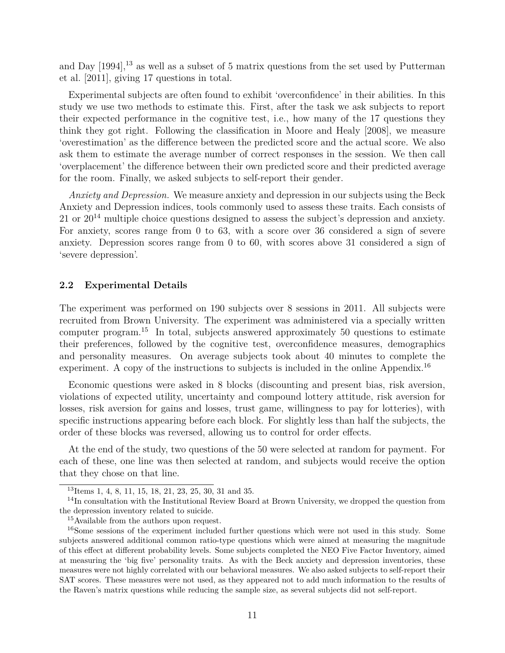and Day  $[1994]$ ,<sup>13</sup> as well as a subset of 5 matrix questions from the set used by Putterman et al. [2011], giving 17 questions in total.

Experimental subjects are often found to exhibit 'overconfidence' in their abilities. In this study we use two methods to estimate this. First, after the task we ask subjects to report their expected performance in the cognitive test, i.e., how many of the 17 questions they think they got right. Following the classification in Moore and Healy [2008], we measure 'overestimation' as the difference between the predicted score and the actual score. We also ask them to estimate the average number of correct responses in the session. We then call 'overplacement' the difference between their own predicted score and their predicted average for the room. Finally, we asked subjects to self-report their gender.

*Anxiety and Depression.* We measure anxiety and depression in our subjects using the Beck Anxiety and Depression indices, tools commonly used to assess these traits. Each consists of 21 or  $20^{14}$  multiple choice questions designed to assess the subject's depression and anxiety. For anxiety, scores range from 0 to 63, with a score over 36 considered a sign of severe anxiety. Depression scores range from 0 to 60, with scores above 31 considered a sign of 'severe depression'.

#### **2.2 Experimental Details**

The experiment was performed on 190 subjects over 8 sessions in 2011. All subjects were recruited from Brown University. The experiment was administered via a specially written computer program.<sup>15</sup> In total, subjects answered approximately 50 questions to estimate their preferences, followed by the cognitive test, overconfidence measures, demographics and personality measures. On average subjects took about 40 minutes to complete the experiment. A copy of the instructions to subjects is included in the online Appendix.<sup>16</sup>

Economic questions were asked in 8 blocks (discounting and present bias, risk aversion, violations of expected utility, uncertainty and compound lottery attitude, risk aversion for losses, risk aversion for gains and losses, trust game, willingness to pay for lotteries), with specific instructions appearing before each block. For slightly less than half the subjects, the order of these blocks was reversed, allowing us to control for order effects.

At the end of the study, two questions of the 50 were selected at random for payment. For each of these, one line was then selected at random, and subjects would receive the option that they chose on that line.

<sup>13</sup>Items 1, 4, 8, 11, 15, 18, 21, 23, 25, 30, 31 and 35.

<sup>&</sup>lt;sup>14</sup>In consultation with the Institutional Review Board at Brown University, we dropped the question from the depression inventory related to suicide.

<sup>15</sup>Available from the authors upon request.

<sup>&</sup>lt;sup>16</sup>Some sessions of the experiment included further questions which were not used in this study. Some subjects answered additional common ratio-type questions which were aimed at measuring the magnitude of this effect at different probability levels. Some subjects completed the NEO Five Factor Inventory, aimed at measuring the 'big five' personality traits. As with the Beck anxiety and depression inventories, these measures were not highly correlated with our behavioral measures. We also asked subjects to self-report their SAT scores. These measures were not used, as they appeared not to add much information to the results of the Raven's matrix questions while reducing the sample size, as several subjects did not self-report.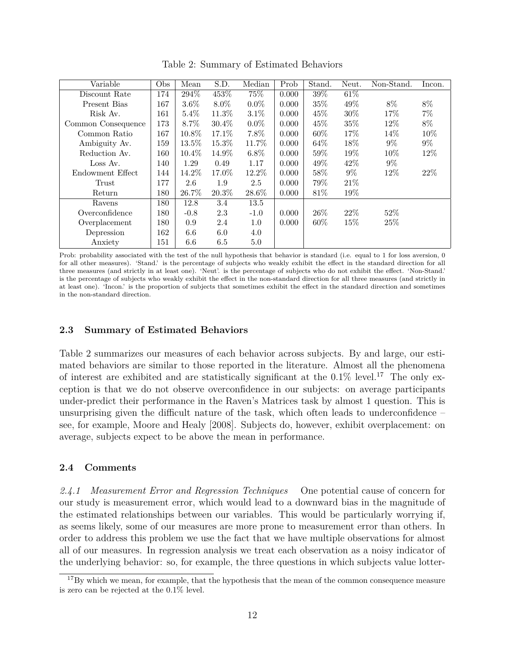| Variable           | Obs | Mean     | S.D.     | Median  | Prob  | Stand. | Neut.  | Non-Stand. | Incon. |
|--------------------|-----|----------|----------|---------|-------|--------|--------|------------|--------|
| Discount Rate      | 174 | 294\%    | 453%     | 75%     | 0.000 | 39%    | $61\%$ |            |        |
| Present Bias       | 167 | $3.6\%$  | 8.0%     | $0.0\%$ | 0.000 | 35%    | 49%    | $8\%$      | 8%     |
| Risk Av.           | 161 | 5.4%     | 11.3%    | 3.1%    | 0.000 | 45%    | 30%    | 17%        | $7\%$  |
| Common Consequence | 173 | 8.7%     | $30.4\%$ | $0.0\%$ | 0.000 | 45%    | 35%    | 12%        | $8\%$  |
| Common Ratio       | 167 | 10.8%    | 17.1\%   | $7.8\%$ | 0.000 | $60\%$ | 17%    | 14%        | 10%    |
| Ambiguity Av.      | 159 | 13.5%    | 15.3%    | 11.7%   | 0.000 | 64%    | 18%    | $9\%$      | $9\%$  |
| Reduction Av.      | 160 | $10.4\%$ | 14.9%    | $6.8\%$ | 0.000 | $59\%$ | 19%    | 10%        | 12%    |
| Loss Av.           | 140 | 1.29     | 0.49     | 1.17    | 0.000 | 49%    | 42%    | $9\%$      |        |
| Endowment Effect   | 144 | 14.2%    | 17.0%    | 12.2%   | 0.000 | 58%    | $9\%$  | 12%        | 22\%   |
| Trust              | 177 | 2.6      | 1.9      | 2.5     | 0.000 | 79%    | 21\%   |            |        |
| Return             | 180 | 26.7%    | 20.3%    | 28.6%   | 0.000 | 81%    | 19%    |            |        |
| Ravens             | 180 | 12.8     | 3.4      | 13.5    |       |        |        |            |        |
| Overconfidence     | 180 | $-0.8$   | 2.3      | $-1.0$  | 0.000 | $26\%$ | 22%    | $52\%$     |        |
| Overplacement      | 180 | 0.9      | 2.4      | 1.0     | 0.000 | 60%    | 15\%   | 25\%       |        |
| Depression         | 162 | 6.6      | 6.0      | 4.0     |       |        |        |            |        |
| Anxiety            | 151 | 6.6      | 6.5      | 5.0     |       |        |        |            |        |

Table 2: Summary of Estimated Behaviors

Prob: probability associated with the test of the null hypothesis that behavior is standard (i.e. equal to 1 for loss aversion, 0 for all other measures). 'Stand.' is the percentage of subjects who weakly exhibit the effect in the standard direction for all three measures (and strictly in at least one). 'Neut'. is the percentage of subjects who do not exhibit the effect. 'Non-Stand.' is the percentage of subjects who weakly exhibit the effect in the non-standard direction for all three measures (and strictly in at least one). 'Incon.' is the proportion of subjects that sometimes exhibit the effect in the standard direction and sometimes in the non-standard direction.

#### **2.3 Summary of Estimated Behaviors**

Table 2 summarizes our measures of each behavior across subjects. By and large, our estimated behaviors are similar to those reported in the literature. Almost all the phenomena of interest are exhibited and are statistically significant at the  $0.1\%$  level.<sup>17</sup> The only exception is that we do not observe overconfidence in our subjects: on average participants under-predict their performance in the Raven's Matrices task by almost 1 question. This is unsurprising given the difficult nature of the task, which often leads to underconfidence – see, for example, Moore and Healy [2008]. Subjects do, however, exhibit overplacement: on average, subjects expect to be above the mean in performance.

#### **2.4 Comments**

*2.4.1 Measurement Error and Regression Techniques* One potential cause of concern for our study is measurement error, which would lead to a downward bias in the magnitude of the estimated relationships between our variables. This would be particularly worrying if, as seems likely, some of our measures are more prone to measurement error than others. In order to address this problem we use the fact that we have multiple observations for almost all of our measures. In regression analysis we treat each observation as a noisy indicator of the underlying behavior: so, for example, the three questions in which subjects value lotter-

<sup>&</sup>lt;sup>17</sup>By which we mean, for example, that the hypothesis that the mean of the common consequence measure is zero can be rejected at the 0.1% level.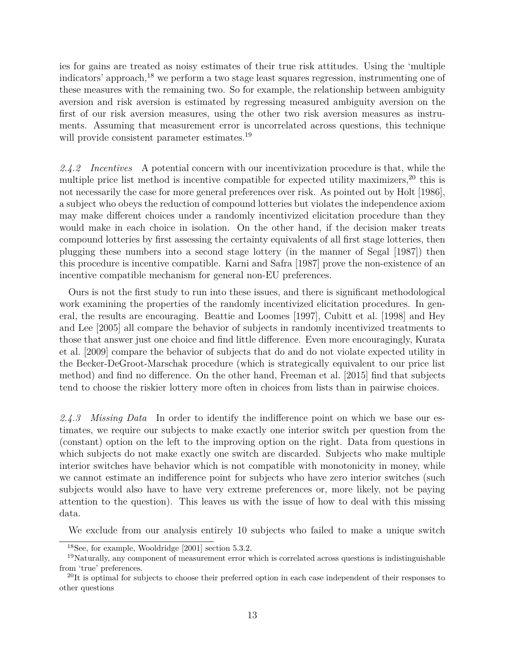ies for gains are treated as noisy estimates of their true risk attitudes. Using the 'multiple indicators' approach,<sup>18</sup> we perform a two stage least squares regression, instrumenting one of these measures with the remaining two. So for example, the relationship between ambiguity aversion and risk aversion is estimated by regressing measured ambiguity aversion on the first of our risk aversion measures, using the other two risk aversion measures as instruments. Assuming that measurement error is uncorrelated across questions, this technique will provide consistent parameter estimates.<sup>19</sup>

*2.4.2 Incentives* A potential concern with our incentivization procedure is that, while the multiple price list method is incentive compatible for expected utility maximizers,<sup>20</sup> this is not necessarily the case for more general preferences over risk. As pointed out by Holt [1986], a subject who obeys the reduction of compound lotteries but violates the independence axiom may make different choices under a randomly incentivized elicitation procedure than they would make in each choice in isolation. On the other hand, if the decision maker treats compound lotteries by first assessing the certainty equivalents of all first stage lotteries, then plugging these numbers into a second stage lottery (in the manner of Segal [1987]) then this procedure is incentive compatible. Karni and Safra [1987] prove the non-existence of an incentive compatible mechanism for general non-EU preferences.

Ours is not the first study to run into these issues, and there is significant methodological work examining the properties of the randomly incentivized elicitation procedures. In general, the results are encouraging. Beattie and Loomes [1997], Cubitt et al. [1998] and Hey and Lee [2005] all compare the behavior of subjects in randomly incentivized treatments to those that answer just one choice and find little difference. Even more encouragingly, Kurata et al. [2009] compare the behavior of subjects that do and do not violate expected utility in the Becker-DeGroot-Marschak procedure (which is strategically equivalent to our price list method) and find no difference. On the other hand, Freeman et al. [2015] find that subjects tend to choose the riskier lottery more often in choices from lists than in pairwise choices.

*2.4.3 Missing Data* In order to identify the indifference point on which we base our estimates, we require our subjects to make exactly one interior switch per question from the (constant) option on the left to the improving option on the right. Data from questions in which subjects do not make exactly one switch are discarded. Subjects who make multiple interior switches have behavior which is not compatible with monotonicity in money, while we cannot estimate an indifference point for subjects who have zero interior switches (such subjects would also have to have very extreme preferences or, more likely, not be paying attention to the question). This leaves us with the issue of how to deal with this missing data.

We exclude from our analysis entirely 10 subjects who failed to make a unique switch

<sup>18</sup>See, for example, Wooldridge [2001] section 5.3.2.

<sup>&</sup>lt;sup>19</sup>Naturally, any component of measurement error which is correlated across questions is indistinguishable from 'true' preferences.

 $^{20}$ It is optimal for subjects to choose their preferred option in each case independent of their responses to other questions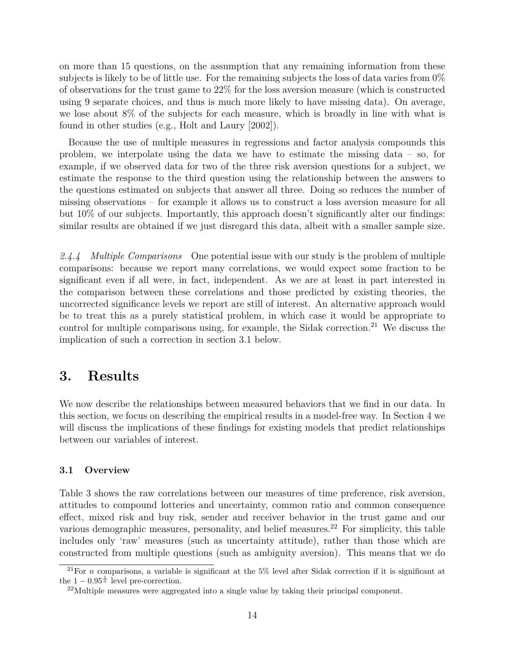on more than 15 questions, on the assumption that any remaining information from these subjects is likely to be of little use. For the remaining subjects the loss of data varies from 0% of observations for the trust game to 22% for the loss aversion measure (which is constructed using 9 separate choices, and thus is much more likely to have missing data). On average, we lose about 8% of the subjects for each measure, which is broadly in line with what is found in other studies (e.g., Holt and Laury [2002]).

Because the use of multiple measures in regressions and factor analysis compounds this problem, we interpolate using the data we have to estimate the missing data – so, for example, if we observed data for two of the three risk aversion questions for a subject, we estimate the response to the third question using the relationship between the answers to the questions estimated on subjects that answer all three. Doing so reduces the number of missing observations – for example it allows us to construct a loss aversion measure for all but 10% of our subjects. Importantly, this approach doesn't significantly alter our findings: similar results are obtained if we just disregard this data, albeit with a smaller sample size.

*2.4.4 Multiple Comparisons* One potential issue with our study is the problem of multiple comparisons: because we report many correlations, we would expect some fraction to be significant even if all were, in fact, independent. As we are at least in part interested in the comparison between these correlations and those predicted by existing theories, the uncorrected significance levels we report are still of interest. An alternative approach would be to treat this as a purely statistical problem, in which case it would be appropriate to control for multiple comparisons using, for example, the Sidak correction.<sup>21</sup> We discuss the implication of such a correction in section 3.1 below.

### **3. Results**

We now describe the relationships between measured behaviors that we find in our data. In this section, we focus on describing the empirical results in a model-free way. In Section 4 we will discuss the implications of these findings for existing models that predict relationships between our variables of interest.

#### **3.1 Overview**

Table 3 shows the raw correlations between our measures of time preference, risk aversion, attitudes to compound lotteries and uncertainty, common ratio and common consequence effect, mixed risk and buy risk, sender and receiver behavior in the trust game and our various demographic measures, personality, and belief measures.<sup>22</sup> For simplicity, this table includes only 'raw' measures (such as uncertainty attitude), rather than those which are constructed from multiple questions (such as ambiguity aversion). This means that we do

<sup>&</sup>lt;sup>21</sup>For *n* comparisons, a variable is significant at the  $5\%$  level after Sidak correction if it is significant at the  $1 - 0.95^{\frac{1}{n}}$  level pre-correction.

 $^{22}$ Multiple measures were aggregated into a single value by taking their principal component.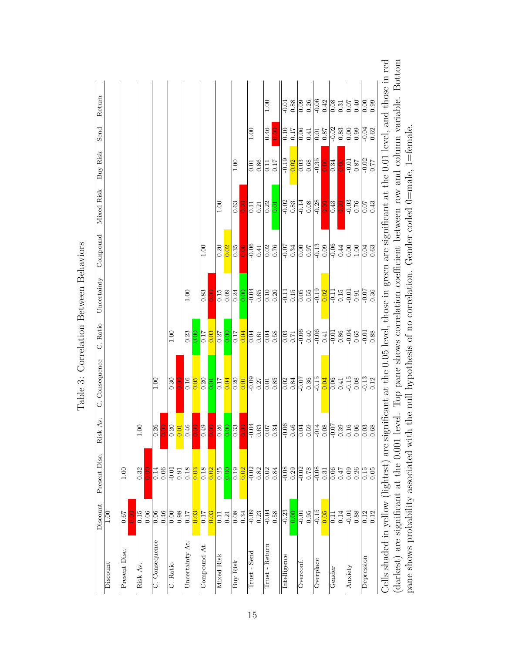| Return         |                |               |                     |                  |               |                   |          |                |           |                   |                 |                   |                    |                      |               |                   |                      | 00.1              |                  | $-0.01$                     | 0.88      | 0.09              | 0.26     | $-0.06$   | 0.42     | $\frac{80}{10}$             | 0.31 | 0.07              | 0.40     | 0.00       | 0.99                                        |                                                                                                                                         |                                                                                                                              |                                                                             |
|----------------|----------------|---------------|---------------------|------------------|---------------|-------------------|----------|----------------|-----------|-------------------|-----------------|-------------------|--------------------|----------------------|---------------|-------------------|----------------------|-------------------|------------------|-----------------------------|-----------|-------------------|----------|-----------|----------|-----------------------------|------|-------------------|----------|------------|---------------------------------------------|-----------------------------------------------------------------------------------------------------------------------------------------|------------------------------------------------------------------------------------------------------------------------------|-----------------------------------------------------------------------------|
| Send           |                |               |                     |                  |               |                   |          |                |           |                   |                 |                   |                    |                      |               | 001               |                      | 0.46              | $\overline{0.0}$ | $\overline{0.10}$           | 0.17      | 0.06              | 0.41     | 0.01      | 0.87     | $-0.02$                     | 0.83 | $\overline{0.00}$ | 0.99     | $-0.04$    | $\,0.62$                                    |                                                                                                                                         |                                                                                                                              |                                                                             |
| Buy Risk       |                |               |                     |                  |               |                   |          |                |           |                   |                 |                   |                    | 00.1                 |               | $\overline{0.01}$ | 0.86                 | $\Xi$             | 0.17             | $\frac{61}{19}$             | 0.02      | $\overline{0.03}$ | 0.68     | $-0.35$   | Э.<br>Э  | 0.34                        |      | $-0.01$           | 0.87     | $-0.02$    | 77                                          |                                                                                                                                         |                                                                                                                              |                                                                             |
| Mixed Risk     |                |               |                     |                  |               |                   |          |                |           |                   |                 | 1.00              |                    | 0.63                 |               | 0.11              | 0.21                 | 0.22              | 0.01             | $-0.02$                     | 0.83      | $-0.14$           | 0.08     | $-0.28$   | DC.<br>D | 0.43                        |      | $-0.03$           | 0.76     | 0.07       | 0.43                                        |                                                                                                                                         |                                                                                                                              | the null hypothesis of no correlation. Gender coded $0$ =male, $1$ =female. |
| Compound       |                |               |                     |                  |               |                   |          |                |           | 1.00              |                 | 0.20              | 0.02               | 0.35                 | 00.<br>DO     | $rac{1}{0.06}$    | 0.41                 | 0.02              | 0.76             | $\frac{10.05}{\frac{1}{2}}$ | 0.34      | 0.00              | 0.97     | $-0.13$   | 0.09     | $\frac{1}{90}$ .            | 0.44 | 0.00              | 1.00     | 0.04       | 0.63                                        |                                                                                                                                         |                                                                                                                              |                                                                             |
| Uncertainty    |                |               |                     |                  |               |                   |          | 1.00           |           | 0.83              |                 | $\frac{61}{5}$    | 0.09               | 0.24                 | 0.00          | $-0.04$           | $0.65\,$             | 0.10              | 0.20             | $\overline{=}$              | 0.15      | 0.05              | $0.55\,$ | $-0.19$   | 0.02     | $\overline{=}$              | 0.15 | $-0.01$           | 0.91     | $-0.07$    | $\,0.36$                                    |                                                                                                                                         |                                                                                                                              |                                                                             |
| C. Ratio       |                |               |                     |                  |               | 1.00              |          | 0.23           | 0.00      | $\overline{0.17}$ | 0.03            | 0.27              | 0.00               | 0.17                 | 0.04          | 0.04              | 0.61                 | 0.04              | 0.58             | $\frac{0.03}{0.71}$         |           | $-0.06$           | 0.40     | $-0.06$   | 0.41     | $\frac{10.01}{\frac{1}{2}}$ | 0.86 | $-0.04$           | 0.65     | $-0.01$    | $0.88\,$                                    |                                                                                                                                         |                                                                                                                              |                                                                             |
| C. Consequence |                |               |                     | 001              |               | $\sqrt{0.30}$     | 0.<br>Di | 0.16           | 0.05      | 0.20              | $\rm{5}$        | $\overline{0.17}$ | 0.04               | $\frac{10.20}{0.01}$ |               | $\frac{1}{0.09}$  |                      | 0.01              | 0.85             | $\frac{1}{0.02}$            | 0.84      | $-0.07$           | 0.36     | $-0.15$   | 0.04     | $\frac{1}{0.06}$            | 0.41 | $-0.15$           | 0.08     |            | $-0.13$<br>0.12                             |                                                                                                                                         |                                                                                                                              |                                                                             |
| Av.<br>Risk    |                |               | 00.1                | $\frac{0.26}{5}$ | $\frac{1}{2}$ | $\overline{0.20}$ | 0.01     | 0.46           | $\vec{5}$ | 0.49              | $\breve{\circ}$ | 0.26              | $_{\odot}^{\circ}$ | 0.33                 | $\frac{1}{2}$ |                   | $\frac{60.04}{0.63}$ | 0.07              | 0.34             | $-0.0$                      | $0.46\,$  | $0.59$<br>0.59    |          | $-014$    | 0.08     | $-0.0$                      | 0.39 | 0.16              | $0.06\,$ |            | $\frac{0.03}{0.68}$                         |                                                                                                                                         |                                                                                                                              |                                                                             |
| Present Disc.  |                | 1.00          | $\overline{0.32}$   | 0.14             | 0.06          | $-0.01$           | 0.91     | 0.18           | 0.03      | $\frac{8}{18}$    | 0.02            | $\overline{0.25}$ | $_{0.00}$          | $\overline{0.19}$    | 0.02          |                   | $-0.02$<br>0.82      | $\overline{0.02}$ | 0.84             | $\frac{80}{100}$            |           | $-0.02$           | 0.78     | $-0.08$   | 0.31     | 0.06                        | 0.47 | 0.09              | 0.26     |            | $0.15$<br>$0.05$                            |                                                                                                                                         |                                                                                                                              |                                                                             |
| Discount       | $\frac{1}{10}$ | 0.67          | $\frac{0.15}{0.06}$ | 0.06             | 0.46          | $\overline{0.00}$ | 0.98     | 0.17           | 0.03      | 0.17              | 0.03            | 0.11              | 0.21               | $\frac{8}{0.34}$     |               | $-0.09$           | 0.23                 | $-0.04$           | 0.58             | $-0.23$                     | 8<br>0.00 | $-0.01$           | 0.95     | $-0.15$   | 0.05     | $\overline{11}$             | 0.14 | $-0.01$           | 0.88     |            | $\begin{array}{c} 0.12 \\ 0.12 \end{array}$ |                                                                                                                                         |                                                                                                                              |                                                                             |
|                | Discount       | Present Disc. | Risk Av.            | C. Consequence   |               | C. Ratio          |          | Uncertainty At |           | Compound At       |                 | Mixed Risk        |                    | Buy Risk             |               | Trust - Send      |                      | Trust - Return    |                  | Intelligence                |           | Overconf          |          | Overplace |          | Gender                      |      | Anxiety           |          | Depression |                                             | Cells shaded in yellow (lightest) are significant at the 0.05 level, those in green are significant at the 0.01 level, and those in red | (darkest) are significant at the 0.001 level. Top pane shows correlation coefficient between row and column variable. Bottom | pane shows probability associated with                                      |

Table 3: Correlation Between Behaviors Table 3: Correlation Between Behaviors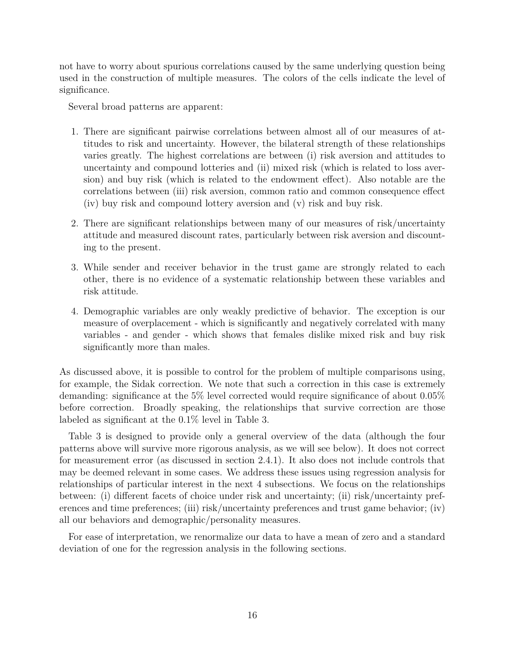not have to worry about spurious correlations caused by the same underlying question being used in the construction of multiple measures. The colors of the cells indicate the level of significance.

Several broad patterns are apparent:

- 1. There are significant pairwise correlations between almost all of our measures of attitudes to risk and uncertainty. However, the bilateral strength of these relationships varies greatly. The highest correlations are between (i) risk aversion and attitudes to uncertainty and compound lotteries and (ii) mixed risk (which is related to loss aversion) and buy risk (which is related to the endowment effect). Also notable are the correlations between (iii) risk aversion, common ratio and common consequence effect (iv) buy risk and compound lottery aversion and (v) risk and buy risk.
- 2. There are significant relationships between many of our measures of risk/uncertainty attitude and measured discount rates, particularly between risk aversion and discounting to the present.
- 3. While sender and receiver behavior in the trust game are strongly related to each other, there is no evidence of a systematic relationship between these variables and risk attitude.
- 4. Demographic variables are only weakly predictive of behavior. The exception is our measure of overplacement - which is significantly and negatively correlated with many variables - and gender - which shows that females dislike mixed risk and buy risk significantly more than males.

As discussed above, it is possible to control for the problem of multiple comparisons using, for example, the Sidak correction. We note that such a correction in this case is extremely demanding: significance at the 5% level corrected would require significance of about 0.05% before correction. Broadly speaking, the relationships that survive correction are those labeled as significant at the 0.1% level in Table 3.

Table 3 is designed to provide only a general overview of the data (although the four patterns above will survive more rigorous analysis, as we will see below). It does not correct for measurement error (as discussed in section 2.4.1). It also does not include controls that may be deemed relevant in some cases. We address these issues using regression analysis for relationships of particular interest in the next 4 subsections. We focus on the relationships between: (i) different facets of choice under risk and uncertainty; (ii) risk/uncertainty preferences and time preferences; (iii) risk/uncertainty preferences and trust game behavior; (iv) all our behaviors and demographic/personality measures.

For ease of interpretation, we renormalize our data to have a mean of zero and a standard deviation of one for the regression analysis in the following sections.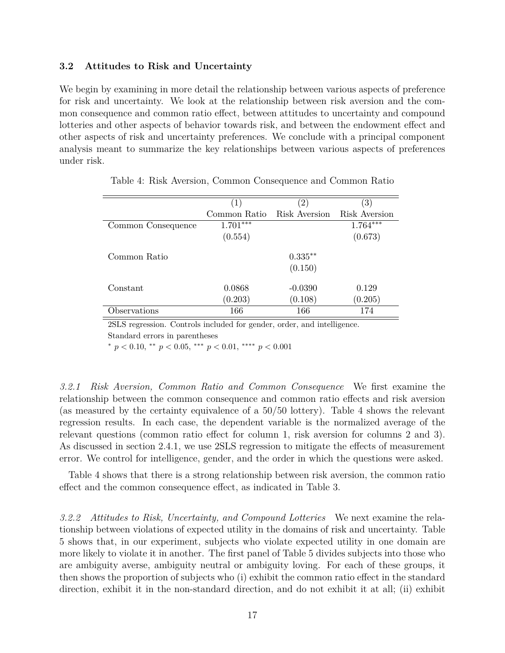#### **3.2 Attitudes to Risk and Uncertainty**

We begin by examining in more detail the relationship between various aspects of preference for risk and uncertainty. We look at the relationship between risk aversion and the common consequence and common ratio effect, between attitudes to uncertainty and compound lotteries and other aspects of behavior towards risk, and between the endowment effect and other aspects of risk and uncertainty preferences. We conclude with a principal component analysis meant to summarize the key relationships between various aspects of preferences under risk.

|                    | $\left(1\right)$ | 2)            | $\left( 3\right)$ |
|--------------------|------------------|---------------|-------------------|
|                    | Common Ratio     | Risk Aversion | Risk Aversion     |
| Common Consequence | $1.701***$       |               | $1.764***$        |
|                    | (0.554)          |               | (0.673)           |
|                    |                  |               |                   |
| Common Ratio       |                  | $0.335**$     |                   |
|                    |                  | (0.150)       |                   |
|                    |                  |               |                   |
| Constant           | 0.0868           | $-0.0390$     | 0.129             |
|                    | (0.203)          | (0.108)       | (0.205)           |
| Observations       | 166              | 166           | 174               |

Table 4: Risk Aversion, Common Consequence and Common Ratio

2SLS regression. Controls included for gender, order, and intelligence. Standard errors in parentheses

<sup>∗</sup> *p <* 0*.*10, ∗∗ *p <* 0*.*05, ∗∗∗ *p <* 0*.*01, ∗∗∗∗ *p <* 0*.*001

*3.2.1 Risk Aversion, Common Ratio and Common Consequence* We first examine the relationship between the common consequence and common ratio effects and risk aversion (as measured by the certainty equivalence of a 50/50 lottery). Table 4 shows the relevant regression results. In each case, the dependent variable is the normalized average of the relevant questions (common ratio effect for column 1, risk aversion for columns 2 and 3). As discussed in section 2.4.1, we use 2SLS regression to mitigate the effects of measurement error. We control for intelligence, gender, and the order in which the questions were asked.

Table 4 shows that there is a strong relationship between risk aversion, the common ratio effect and the common consequence effect, as indicated in Table 3.

*3.2.2 Attitudes to Risk, Uncertainty, and Compound Lotteries* We next examine the relationship between violations of expected utility in the domains of risk and uncertainty. Table 5 shows that, in our experiment, subjects who violate expected utility in one domain are more likely to violate it in another. The first panel of Table 5 divides subjects into those who are ambiguity averse, ambiguity neutral or ambiguity loving. For each of these groups, it then shows the proportion of subjects who (i) exhibit the common ratio effect in the standard direction, exhibit it in the non-standard direction, and do not exhibit it at all; (ii) exhibit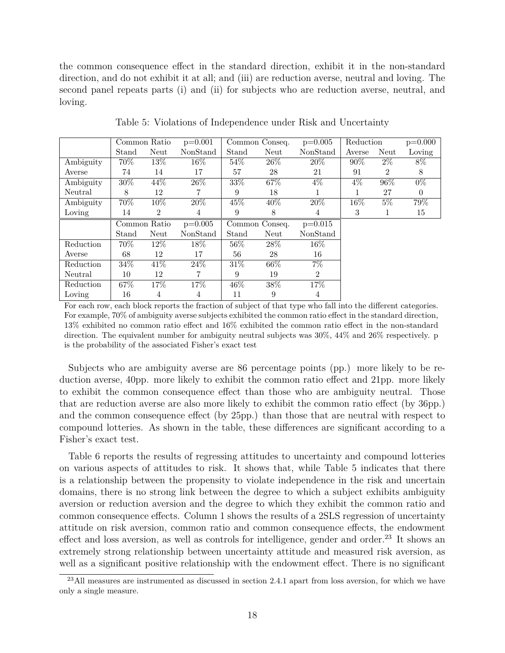the common consequence effect in the standard direction, exhibit it in the non-standard direction, and do not exhibit it at all; and (iii) are reduction averse, neutral and loving. The second panel repeats parts (i) and (ii) for subjects who are reduction averse, neutral, and loving.

|           |       | Common Ratio   | $p=0.001$ |        | Common Conseq. | $p=0.005$      | Reduction |                | $p=0.000$ |
|-----------|-------|----------------|-----------|--------|----------------|----------------|-----------|----------------|-----------|
|           | Stand | Neut           | NonStand  | Stand  | Neut           | NonStand       | Averse    | Neut           | Loving    |
| Ambiguity | 70%   | 13\%           | $16\%$    | $54\%$ | 26\%           | 20%            | $90\%$    | $2\%$          | 8%        |
| Averse    | 74    | 14             | 17        | 57     | 28             | 21             | 91        | $\overline{2}$ | 8         |
| Ambiguity | 30%   | 44%            | 26\%      | 33%    | 67%            | $4\%$          | $4\%$     | 96%            | $0\%$     |
| Neutral   | 8     | 12             |           | 9      | 18             |                |           | 27             | $\theta$  |
| Ambiguity | 70\%  | 10%            | 20%       | 45\%   | 40%            | 20%            | $16\%$    | $5\%$          | 79%       |
| Loving    | 14    | $\overline{2}$ | 4         | 9      | 8              | 4              | 3         |                | 15        |
|           |       |                |           |        |                |                |           |                |           |
|           |       | Common Ratio   | $p=0.005$ |        | Common Conseq. | $p=0.015$      |           |                |           |
|           | Stand | Neut           | NonStand  | Stand  | Neut           | NonStand       |           |                |           |
| Reduction | 70%   | $12\%$         | $18\%$    | $56\%$ | 28\%           | $16\%$         |           |                |           |
| Averse    | 68    | 12             | 17        | 56     | 28             | 16             |           |                |           |
| Reduction | 34%   | 41\%           | 24%       | $31\%$ | 66%            | $7\%$          |           |                |           |
| Neutral   | 10    | 12             |           | 9      | 19             | $\overline{2}$ |           |                |           |
| Reduction | 67\%  | 17\%           | 17%       | $46\%$ | 38%            | 17%            |           |                |           |

Table 5: Violations of Independence under Risk and Uncertainty

For each row, each block reports the fraction of subject of that type who fall into the different categories. For example, 70% of ambiguity averse subjects exhibited the common ratio effect in the standard direction, 13% exhibited no common ratio effect and 16% exhibited the common ratio effect in the non-standard direction. The equivalent number for ambiguity neutral subjects was  $30\%$ ,  $44\%$  and  $26\%$  respectively. p is the probability of the associated Fisher's exact test

Subjects who are ambiguity averse are 86 percentage points (pp.) more likely to be reduction averse, 40pp. more likely to exhibit the common ratio effect and 21pp. more likely to exhibit the common consequence effect than those who are ambiguity neutral. Those that are reduction averse are also more likely to exhibit the common ratio effect (by 36pp.) and the common consequence effect (by 25pp.) than those that are neutral with respect to compound lotteries. As shown in the table, these differences are significant according to a Fisher's exact test.

Table 6 reports the results of regressing attitudes to uncertainty and compound lotteries on various aspects of attitudes to risk. It shows that, while Table 5 indicates that there is a relationship between the propensity to violate independence in the risk and uncertain domains, there is no strong link between the degree to which a subject exhibits ambiguity aversion or reduction aversion and the degree to which they exhibit the common ratio and common consequence effects. Column 1 shows the results of a 2SLS regression of uncertainty attitude on risk aversion, common ratio and common consequence effects, the endowment effect and loss aversion, as well as controls for intelligence, gender and order. $^{23}$  It shows an extremely strong relationship between uncertainty attitude and measured risk aversion, as well as a significant positive relationship with the endowment effect. There is no significant

 $^{23}$ All measures are instrumented as discussed in section 2.4.1 apart from loss aversion, for which we have only a single measure.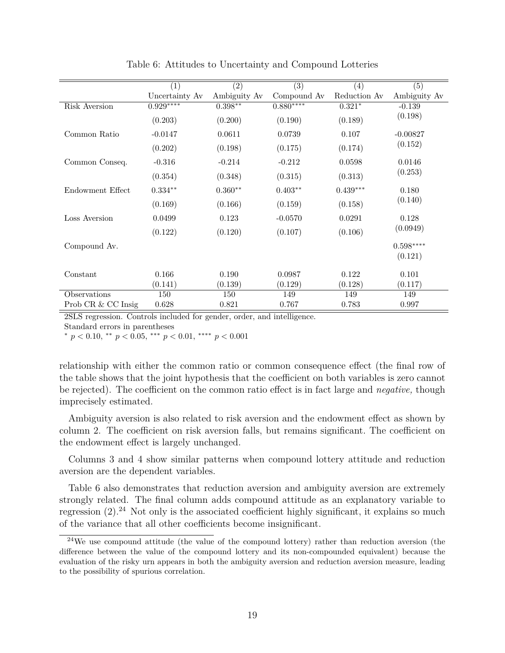|                    | $\overline{(1)}$ | $\overline{(2)}$ | $\overline{(3)}$ | $\overline{(4)}$ | $\overline{(5)}$ |
|--------------------|------------------|------------------|------------------|------------------|------------------|
|                    | Uncertainty Av   | Ambiguity Av     | Compound Av      | Reduction Av     | Ambiguity Av     |
| Risk Aversion      | $0.929***$       | $0.398**$        | $0.880***$       | $0.321*$         | $-0.139$         |
|                    | (0.203)          | (0.200)          | (0.190)          | (0.189)          | (0.198)          |
| Common Ratio       | $-0.0147$        | 0.0611           | 0.0739           | 0.107            | $-0.00827$       |
|                    | (0.202)          | (0.198)          | (0.175)          | (0.174)          | (0.152)          |
| Common Conseq.     | $-0.316$         | $-0.214$         | $-0.212$         | 0.0598           | 0.0146           |
|                    | (0.354)          | (0.348)          | (0.315)          | (0.313)          | (0.253)          |
| Endowment Effect   | $0.334**$        | $0.360**$        | $0.403**$        | $0.439***$       | 0.180            |
|                    | (0.169)          | (0.166)          | (0.159)          | (0.158)          | (0.140)          |
| Loss Aversion      | 0.0499           | 0.123            | $-0.0570$        | 0.0291           | 0.128            |
|                    | (0.122)          | (0.120)          | (0.107)          | (0.106)          | (0.0949)         |
| Compound Av.       |                  |                  |                  |                  | $0.598***$       |
|                    |                  |                  |                  |                  | (0.121)          |
|                    |                  |                  |                  |                  |                  |
| Constant           | 0.166            | 0.190            | 0.0987           | 0.122            | 0.101            |
|                    | (0.141)          | (0.139)          | (0.129)          | (0.128)          | (0.117)          |
| Observations       | 150              | 150              | 149              | 149              | 149              |
| Prob CR & CC Insig | 0.628            | 0.821            | 0.767            | 0.783            | 0.997            |

Table 6: Attitudes to Uncertainty and Compound Lotteries

2SLS regression. Controls included for gender, order, and intelligence.

Standard errors in parentheses

 $p < 0.10,$  \*\*  $p < 0.05,$  \*\*\*  $p < 0.01,$  \*\*\*\*  $p < 0.001$ 

relationship with either the common ratio or common consequence effect (the final row of the table shows that the joint hypothesis that the coefficient on both variables is zero cannot be rejected). The coefficient on the common ratio effect is in fact large and *negative,* though imprecisely estimated.

Ambiguity aversion is also related to risk aversion and the endowment effect as shown by column 2. The coefficient on risk aversion falls, but remains significant. The coefficient on the endowment effect is largely unchanged.

Columns 3 and 4 show similar patterns when compound lottery attitude and reduction aversion are the dependent variables.

Table 6 also demonstrates that reduction aversion and ambiguity aversion are extremely strongly related. The final column adds compound attitude as an explanatory variable to regression  $(2)$ .<sup>24</sup> Not only is the associated coefficient highly significant, it explains so much of the variance that all other coefficients become insignificant.

<sup>&</sup>lt;sup>24</sup>We use compound attitude (the value of the compound lottery) rather than reduction aversion (the difference between the value of the compound lottery and its non-compounded equivalent) because the evaluation of the risky urn appears in both the ambiguity aversion and reduction aversion measure, leading to the possibility of spurious correlation.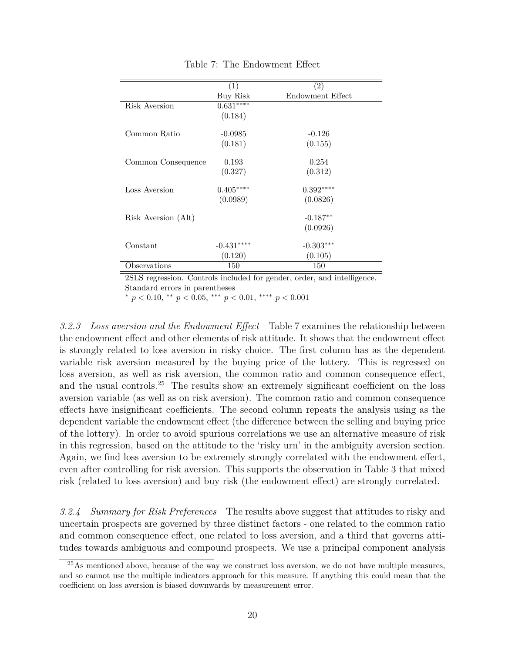|                     | (1)         | (2)              |
|---------------------|-------------|------------------|
|                     | Buy Risk    | Endowment Effect |
|                     |             |                  |
| Risk Aversion       | $0.631***$  |                  |
|                     | (0.184)     |                  |
|                     |             |                  |
| Common Ratio        | $-0.0985$   | $-0.126$         |
|                     | (0.181)     | (0.155)          |
|                     |             |                  |
| Common Consequence  | 0.193       | 0.254            |
|                     | (0.327)     | (0.312)          |
|                     |             |                  |
| Loss Aversion       | $0.405***$  | $0.392***$       |
|                     | (0.0989)    | (0.0826)         |
|                     |             |                  |
| Risk Aversion (Alt) |             | $-0.187**$       |
|                     |             | (0.0926)         |
|                     |             |                  |
| Constant            | $-0.431***$ | $-0.303***$      |
|                     | (0.120)     | (0.105)          |
| Observations        | 150         | 150              |

Table 7: The Endowment Effect

2SLS regression. Controls included for gender, order, and intelligence. Standard errors in parentheses

<sup>∗</sup> *p <* 0*.*10, ∗∗ *p <* 0*.*05, ∗∗∗ *p <* 0*.*01, ∗∗∗∗ *p <* 0*.*001

*3.2.3 Loss aversion and the Endowment Effect* Table 7 examines the relationship between the endowment effect and other elements of risk attitude. It shows that the endowment effect is strongly related to loss aversion in risky choice. The first column has as the dependent variable risk aversion measured by the buying price of the lottery. This is regressed on loss aversion, as well as risk aversion, the common ratio and common consequence effect, and the usual controls.<sup>25</sup> The results show an extremely significant coefficient on the loss aversion variable (as well as on risk aversion). The common ratio and common consequence effects have insignificant coefficients. The second column repeats the analysis using as the dependent variable the endowment effect (the difference between the selling and buying price of the lottery). In order to avoid spurious correlations we use an alternative measure of risk in this regression, based on the attitude to the 'risky urn' in the ambiguity aversion section. Again, we find loss aversion to be extremely strongly correlated with the endowment effect, even after controlling for risk aversion. This supports the observation in Table 3 that mixed risk (related to loss aversion) and buy risk (the endowment effect) are strongly correlated.

*3.2.4 Summary for Risk Preferences* The results above suggest that attitudes to risky and uncertain prospects are governed by three distinct factors - one related to the common ratio and common consequence effect, one related to loss aversion, and a third that governs attitudes towards ambiguous and compound prospects. We use a principal component analysis

<sup>&</sup>lt;sup>25</sup>As mentioned above, because of the way we construct loss aversion, we do not have multiple measures, and so cannot use the multiple indicators approach for this measure. If anything this could mean that the coefficient on loss aversion is biased downwards by measurement error.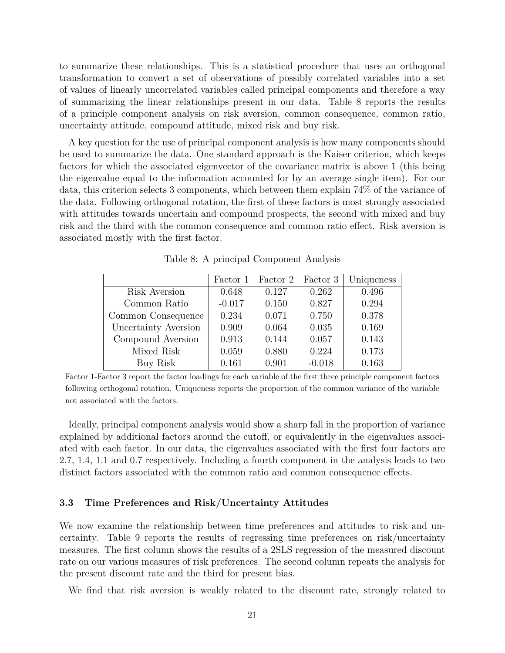to summarize these relationships. This is a statistical procedure that uses an orthogonal transformation to convert a set of observations of possibly correlated variables into a set of values of linearly uncorrelated variables called principal components and therefore a way of summarizing the linear relationships present in our data. Table 8 reports the results of a principle component analysis on risk aversion, common consequence, common ratio, uncertainty attitude, compound attitude, mixed risk and buy risk.

A key question for the use of principal component analysis is how many components should be used to summarize the data. One standard approach is the Kaiser criterion, which keeps factors for which the associated eigenvector of the covariance matrix is above 1 (this being the eigenvalue equal to the information accounted for by an average single item). For our data, this criterion selects 3 components, which between them explain 74% of the variance of the data. Following orthogonal rotation, the first of these factors is most strongly associated with attitudes towards uncertain and compound prospects, the second with mixed and buy risk and the third with the common consequence and common ratio effect. Risk aversion is associated mostly with the first factor.

Table 8: A principal Component Analysis

|                      | Factor 1 | Factor 2 | Factor 3 | Uniqueness |
|----------------------|----------|----------|----------|------------|
| Risk Aversion        | 0.648    | 0.127    | 0.262    | 0.496      |
| Common Ratio         | $-0.017$ | 0.150    | 0.827    | 0.294      |
| Common Consequence   | 0.234    | 0.071    | 0.750    | 0.378      |
| Uncertainty Aversion | 0.909    | 0.064    | 0.035    | 0.169      |
| Compound Aversion    | 0.913    | 0.144    | 0.057    | 0.143      |
| Mixed Risk           | 0.059    | 0.880    | 0.224    | 0.173      |
| Buy Risk             | 0.161    | 0.901    | $-0.018$ | 0.163      |

Factor 1-Factor 3 report the factor loadings for each variable of the first three principle component factors following orthogonal rotation. Uniqueness reports the proportion of the common variance of the variable not associated with the factors.

Ideally, principal component analysis would show a sharp fall in the proportion of variance explained by additional factors around the cutoff, or equivalently in the eigenvalues associated with each factor. In our data, the eigenvalues associated with the first four factors are 2.7, 1.4, 1.1 and 0.7 respectively. Including a fourth component in the analysis leads to two distinct factors associated with the common ratio and common consequence effects.

#### **3.3 Time Preferences and Risk/Uncertainty Attitudes**

We now examine the relationship between time preferences and attitudes to risk and uncertainty. Table 9 reports the results of regressing time preferences on risk/uncertainty measures. The first column shows the results of a 2SLS regression of the measured discount rate on our various measures of risk preferences. The second column repeats the analysis for the present discount rate and the third for present bias.

We find that risk aversion is weakly related to the discount rate, strongly related to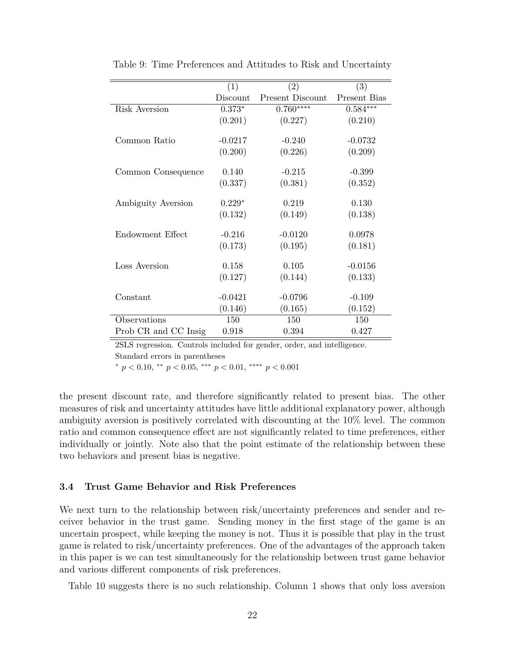|                      | (1)       | (2)                     | (3)          |
|----------------------|-----------|-------------------------|--------------|
|                      | Discount  | <b>Present Discount</b> | Present Bias |
| <b>Risk Aversion</b> | $0.373*$  | $0.760***$              | $0.584***$   |
|                      | (0.201)   | (0.227)                 | (0.210)      |
|                      |           |                         |              |
| Common Ratio         | $-0.0217$ | $-0.240$                | $-0.0732$    |
|                      | (0.200)   | (0.226)                 | (0.209)      |
|                      |           |                         |              |
| Common Consequence   | 0.140     | $-0.215$                | $-0.399$     |
|                      | (0.337)   | (0.381)                 | (0.352)      |
|                      |           |                         |              |
| Ambiguity Aversion   | $0.229*$  | 0.219                   | 0.130        |
|                      | (0.132)   | (0.149)                 | (0.138)      |
| Endowment Effect     | $-0.216$  | $-0.0120$               | 0.0978       |
|                      | (0.173)   | (0.195)                 | (0.181)      |
|                      |           |                         |              |
| Loss Aversion        | 0.158     | 0.105                   | $-0.0156$    |
|                      | (0.127)   | (0.144)                 | (0.133)      |
| Constant             | $-0.0421$ | $-0.0796$               | $-0.109$     |
|                      | (0.146)   | (0.165)                 | (0.152)      |
| Observations         | 150       | 150                     | 150          |
| Prob CR and CC Insig | 0.918     | 0.394                   | 0.427        |

Table 9: Time Preferences and Attitudes to Risk and Uncertainty

2SLS regression. Controls included for gender, order, and intelligence. Standard errors in parentheses

<sup>∗</sup> *p <* 0*.*10, ∗∗ *p <* 0*.*05, ∗∗∗ *p <* 0*.*01, ∗∗∗∗ *p <* 0*.*001

the present discount rate, and therefore significantly related to present bias. The other measures of risk and uncertainty attitudes have little additional explanatory power, although ambiguity aversion is positively correlated with discounting at the 10% level. The common ratio and common consequence effect are not significantly related to time preferences, either individually or jointly. Note also that the point estimate of the relationship between these two behaviors and present bias is negative.

#### **3.4 Trust Game Behavior and Risk Preferences**

We next turn to the relationship between risk/uncertainty preferences and sender and receiver behavior in the trust game. Sending money in the first stage of the game is an uncertain prospect, while keeping the money is not. Thus it is possible that play in the trust game is related to risk/uncertainty preferences. One of the advantages of the approach taken in this paper is we can test simultaneously for the relationship between trust game behavior and various different components of risk preferences.

Table 10 suggests there is no such relationship. Column 1 shows that only loss aversion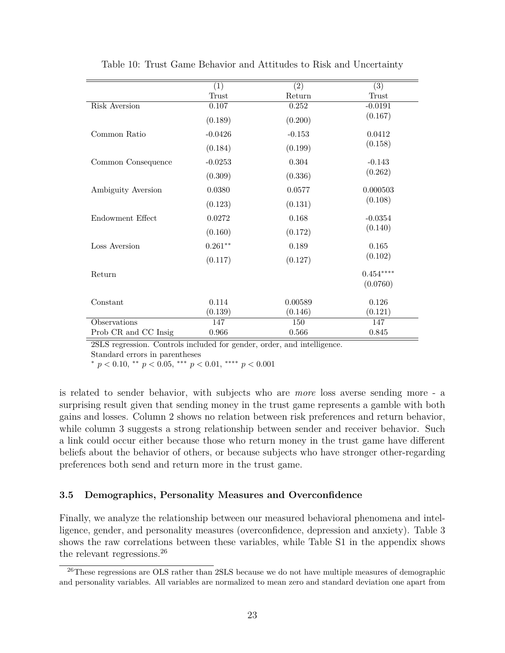|                      | (1)       | $\overline{(2)}$ | $\overline{(3)}$ |
|----------------------|-----------|------------------|------------------|
|                      | Trust     | Return           | Trust            |
| Risk Aversion        | 0.107     | 0.252            | $-0.0191$        |
|                      | (0.189)   | (0.200)          | (0.167)          |
| Common Ratio         | $-0.0426$ | $-0.153$         | 0.0412           |
|                      | (0.184)   | (0.199)          | (0.158)          |
| Common Consequence   | $-0.0253$ | 0.304            | $-0.143$         |
|                      | (0.309)   | (0.336)          | (0.262)          |
| Ambiguity Aversion   | 0.0380    | 0.0577           | 0.000503         |
|                      | (0.123)   | (0.131)          | (0.108)          |
| Endowment Effect     | 0.0272    | 0.168            | $-0.0354$        |
|                      | (0.160)   | (0.172)          | (0.140)          |
| Loss Aversion        | $0.261**$ | 0.189            | 0.165            |
|                      | (0.117)   | (0.127)          | (0.102)          |
| Return               |           |                  | $0.454***$       |
|                      |           |                  | (0.0760)         |
| Constant             | 0.114     | 0.00589          | 0.126            |
|                      | (0.139)   | (0.146)          | (0.121)          |
| Observations         | 147       | 150              | 147              |
| Prob CR and CC Insig | 0.966     | 0.566            | 0.845            |

Table 10: Trust Game Behavior and Attitudes to Risk and Uncertainty

2SLS regression. Controls included for gender, order, and intelligence.

Standard errors in parentheses

<sup>∗</sup> *p <* 0*.*10, ∗∗ *p <* 0*.*05, ∗∗∗ *p <* 0*.*01, ∗∗∗∗ *p <* 0*.*001

is related to sender behavior, with subjects who are *more* loss averse sending more - a surprising result given that sending money in the trust game represents a gamble with both gains and losses. Column 2 shows no relation between risk preferences and return behavior, while column 3 suggests a strong relationship between sender and receiver behavior. Such a link could occur either because those who return money in the trust game have different beliefs about the behavior of others, or because subjects who have stronger other-regarding preferences both send and return more in the trust game.

#### **3.5 Demographics, Personality Measures and Overconfidence**

Finally, we analyze the relationship between our measured behavioral phenomena and intelligence, gender, and personality measures (overconfidence, depression and anxiety). Table 3 shows the raw correlations between these variables, while Table S1 in the appendix shows the relevant regressions.<sup>26</sup>

<sup>26</sup>These regressions are OLS rather than 2SLS because we do not have multiple measures of demographic and personality variables. All variables are normalized to mean zero and standard deviation one apart from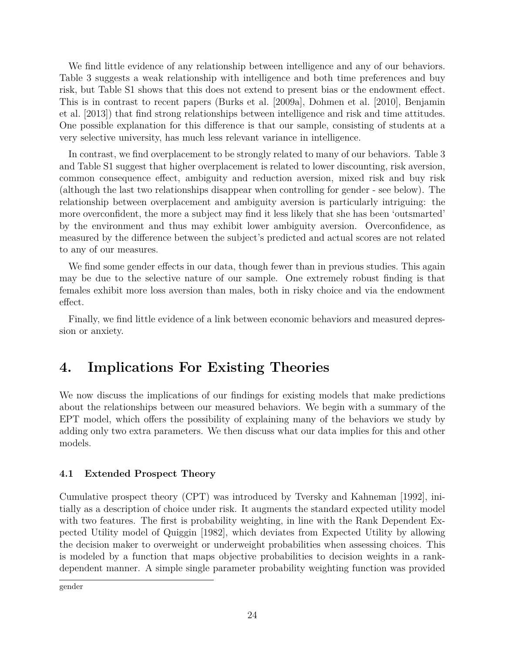We find little evidence of any relationship between intelligence and any of our behaviors. Table 3 suggests a weak relationship with intelligence and both time preferences and buy risk, but Table S1 shows that this does not extend to present bias or the endowment effect. This is in contrast to recent papers (Burks et al. [2009a], Dohmen et al. [2010], Benjamin et al. [2013]) that find strong relationships between intelligence and risk and time attitudes. One possible explanation for this difference is that our sample, consisting of students at a very selective university, has much less relevant variance in intelligence.

In contrast, we find overplacement to be strongly related to many of our behaviors. Table 3 and Table S1 suggest that higher overplacement is related to lower discounting, risk aversion, common consequence effect, ambiguity and reduction aversion, mixed risk and buy risk (although the last two relationships disappear when controlling for gender - see below). The relationship between overplacement and ambiguity aversion is particularly intriguing: the more overconfident, the more a subject may find it less likely that she has been 'outsmarted' by the environment and thus may exhibit lower ambiguity aversion. Overconfidence, as measured by the difference between the subject's predicted and actual scores are not related to any of our measures.

We find some gender effects in our data, though fewer than in previous studies. This again may be due to the selective nature of our sample. One extremely robust finding is that females exhibit more loss aversion than males, both in risky choice and via the endowment effect.

Finally, we find little evidence of a link between economic behaviors and measured depression or anxiety.

## **4. Implications For Existing Theories**

We now discuss the implications of our findings for existing models that make predictions about the relationships between our measured behaviors. We begin with a summary of the EPT model, which offers the possibility of explaining many of the behaviors we study by adding only two extra parameters. We then discuss what our data implies for this and other models.

#### **4.1 Extended Prospect Theory**

Cumulative prospect theory (CPT) was introduced by Tversky and Kahneman [1992], initially as a description of choice under risk. It augments the standard expected utility model with two features. The first is probability weighting, in line with the Rank Dependent Expected Utility model of Quiggin [1982], which deviates from Expected Utility by allowing the decision maker to overweight or underweight probabilities when assessing choices. This is modeled by a function that maps objective probabilities to decision weights in a rankdependent manner. A simple single parameter probability weighting function was provided

gender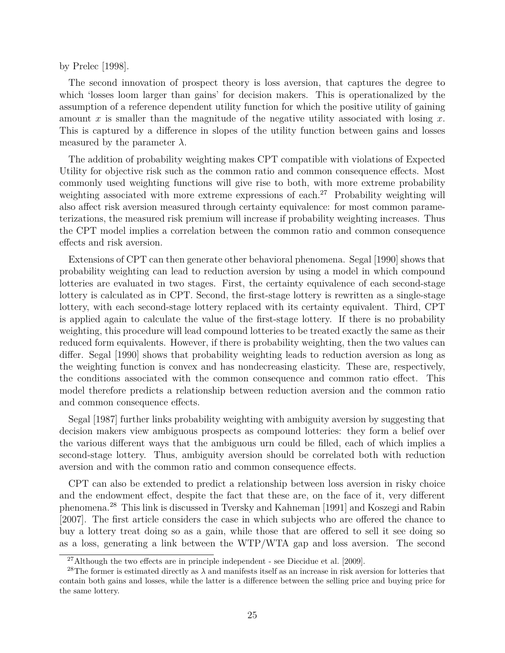by Prelec [1998].

The second innovation of prospect theory is loss aversion, that captures the degree to which 'losses loom larger than gains' for decision makers. This is operationalized by the assumption of a reference dependent utility function for which the positive utility of gaining amount *x* is smaller than the magnitude of the negative utility associated with losing *x*. This is captured by a difference in slopes of the utility function between gains and losses measured by the parameter  $\lambda$ .

The addition of probability weighting makes CPT compatible with violations of Expected Utility for objective risk such as the common ratio and common consequence effects. Most commonly used weighting functions will give rise to both, with more extreme probability weighting associated with more extreme expressions of each.<sup>27</sup> Probability weighting will also affect risk aversion measured through certainty equivalence: for most common parameterizations, the measured risk premium will increase if probability weighting increases. Thus the CPT model implies a correlation between the common ratio and common consequence effects and risk aversion.

Extensions of CPT can then generate other behavioral phenomena. Segal [1990] shows that probability weighting can lead to reduction aversion by using a model in which compound lotteries are evaluated in two stages. First, the certainty equivalence of each second-stage lottery is calculated as in CPT. Second, the first-stage lottery is rewritten as a single-stage lottery, with each second-stage lottery replaced with its certainty equivalent. Third, CPT is applied again to calculate the value of the first-stage lottery. If there is no probability weighting, this procedure will lead compound lotteries to be treated exactly the same as their reduced form equivalents. However, if there is probability weighting, then the two values can differ. Segal [1990] shows that probability weighting leads to reduction aversion as long as the weighting function is convex and has nondecreasing elasticity. These are, respectively, the conditions associated with the common consequence and common ratio effect. This model therefore predicts a relationship between reduction aversion and the common ratio and common consequence effects.

Segal [1987] further links probability weighting with ambiguity aversion by suggesting that decision makers view ambiguous prospects as compound lotteries: they form a belief over the various different ways that the ambiguous urn could be filled, each of which implies a second-stage lottery. Thus, ambiguity aversion should be correlated both with reduction aversion and with the common ratio and common consequence effects.

CPT can also be extended to predict a relationship between loss aversion in risky choice and the endowment effect, despite the fact that these are, on the face of it, very different phenomena.<sup>28</sup> This link is discussed in Tversky and Kahneman [1991] and Koszegi and Rabin [2007]. The first article considers the case in which subjects who are offered the chance to buy a lottery treat doing so as a gain, while those that are offered to sell it see doing so as a loss, generating a link between the WTP/WTA gap and loss aversion. The second

<sup>27</sup>Although the two effects are in principle independent - see Diecidue et al. [2009].

<sup>&</sup>lt;sup>28</sup>The former is estimated directly as  $\lambda$  and manifests itself as an increase in risk aversion for lotteries that contain both gains and losses, while the latter is a difference between the selling price and buying price for the same lottery.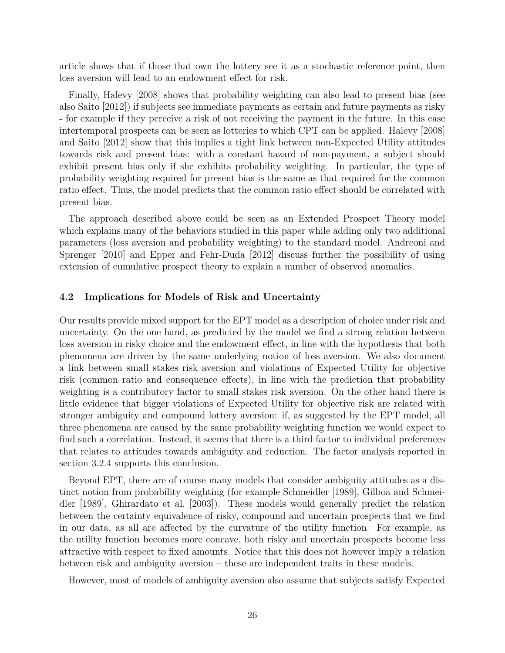article shows that if those that own the lottery see it as a stochastic reference point, then loss aversion will lead to an endowment effect for risk.

Finally, Halevy [2008] shows that probability weighting can also lead to present bias (see also Saito [2012]) if subjects see immediate payments as certain and future payments as risky - for example if they perceive a risk of not receiving the payment in the future. In this case intertemporal prospects can be seen as lotteries to which CPT can be applied. Halevy [2008] and Saito [2012] show that this implies a tight link between non-Expected Utility attitudes towards risk and present bias: with a constant hazard of non-payment, a subject should exhibit present bias only if she exhibits probability weighting. In particular, the type of probability weighting required for present bias is the same as that required for the common ratio effect. Thus, the model predicts that the common ratio effect should be correlated with present bias.

The approach described above could be seen as an Extended Prospect Theory model which explains many of the behaviors studied in this paper while adding only two additional parameters (loss aversion and probability weighting) to the standard model. Andreoni and Sprenger [2010] and Epper and Fehr-Duda [2012] discuss further the possibility of using extension of cumulative prospect theory to explain a number of observed anomalies.

#### **4.2 Implications for Models of Risk and Uncertainty**

Our results provide mixed support for the EPT model as a description of choice under risk and uncertainty. On the one hand, as predicted by the model we find a strong relation between loss aversion in risky choice and the endowment effect, in line with the hypothesis that both phenomena are driven by the same underlying notion of loss aversion. We also document a link between small stakes risk aversion and violations of Expected Utility for objective risk (common ratio and consequence effects), in line with the prediction that probability weighting is a contributory factor to small stakes risk aversion. On the other hand there is little evidence that bigger violations of Expected Utility for objective risk are related with stronger ambiguity and compound lottery aversion: if, as suggested by the EPT model, all three phenomena are caused by the same probability weighting function we would expect to find such a correlation. Instead, it seems that there is a third factor to individual preferences that relates to attitudes towards ambiguity and reduction. The factor analysis reported in section 3.2.4 supports this conclusion.

Beyond EPT, there are of course many models that consider ambiguity attitudes as a distinct notion from probability weighting (for example Schmeidler [1989], Gilboa and Schmeidler [1989], Ghirardato et al. [2003]). These models would generally predict the relation between the certainty equivalence of risky, compound and uncertain prospects that we find in our data, as all are affected by the curvature of the utility function. For example, as the utility function becomes more concave, both risky and uncertain prospects become less attractive with respect to fixed amounts. Notice that this does not however imply a relation between risk and ambiguity aversion – these are independent traits in these models.

However, most of models of ambiguity aversion also assume that subjects satisfy Expected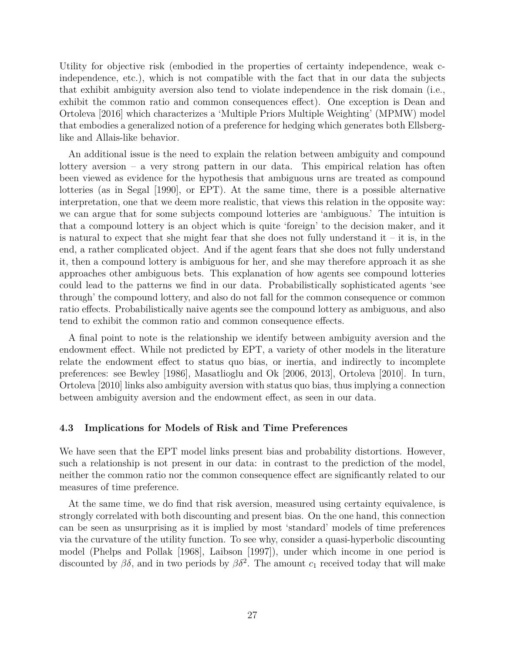Utility for objective risk (embodied in the properties of certainty independence, weak cindependence, etc.), which is not compatible with the fact that in our data the subjects that exhibit ambiguity aversion also tend to violate independence in the risk domain (i.e., exhibit the common ratio and common consequences effect). One exception is Dean and Ortoleva [2016] which characterizes a 'Multiple Priors Multiple Weighting' (MPMW) model that embodies a generalized notion of a preference for hedging which generates both Ellsberglike and Allais-like behavior.

An additional issue is the need to explain the relation between ambiguity and compound lottery aversion – a very strong pattern in our data. This empirical relation has often been viewed as evidence for the hypothesis that ambiguous urns are treated as compound lotteries (as in Segal [1990], or EPT). At the same time, there is a possible alternative interpretation, one that we deem more realistic, that views this relation in the opposite way: we can argue that for some subjects compound lotteries are 'ambiguous.' The intuition is that a compound lottery is an object which is quite 'foreign' to the decision maker, and it is natural to expect that she might fear that she does not fully understand it – it is, in the end, a rather complicated object. And if the agent fears that she does not fully understand it, then a compound lottery is ambiguous for her, and she may therefore approach it as she approaches other ambiguous bets. This explanation of how agents see compound lotteries could lead to the patterns we find in our data. Probabilistically sophisticated agents 'see through' the compound lottery, and also do not fall for the common consequence or common ratio effects. Probabilistically naive agents see the compound lottery as ambiguous, and also tend to exhibit the common ratio and common consequence effects.

A final point to note is the relationship we identify between ambiguity aversion and the endowment effect. While not predicted by EPT, a variety of other models in the literature relate the endowment effect to status quo bias, or inertia, and indirectly to incomplete preferences: see Bewley [1986], Masatlioglu and Ok [2006, 2013], Ortoleva [2010]. In turn, Ortoleva [2010] links also ambiguity aversion with status quo bias, thus implying a connection between ambiguity aversion and the endowment effect, as seen in our data.

#### **4.3 Implications for Models of Risk and Time Preferences**

We have seen that the EPT model links present bias and probability distortions. However, such a relationship is not present in our data: in contrast to the prediction of the model, neither the common ratio nor the common consequence effect are significantly related to our measures of time preference.

At the same time, we do find that risk aversion, measured using certainty equivalence, is strongly correlated with both discounting and present bias. On the one hand, this connection can be seen as unsurprising as it is implied by most 'standard' models of time preferences via the curvature of the utility function. To see why, consider a quasi-hyperbolic discounting model (Phelps and Pollak [1968], Laibson [1997]), under which income in one period is discounted by  $\beta\delta$ , and in two periods by  $\beta\delta^2$ . The amount  $c_1$  received today that will make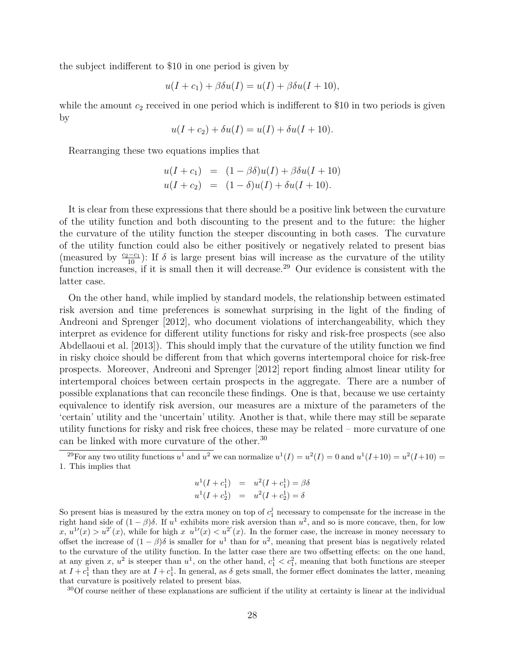the subject indifferent to \$10 in one period is given by

$$
u(I + c_1) + \beta \delta u(I) = u(I) + \beta \delta u(I + 10),
$$

while the amount  $c_2$  received in one period which is indifferent to \$10 in two periods is given by

$$
u(I + c_2) + \delta u(I) = u(I) + \delta u(I + 10).
$$

Rearranging these two equations implies that

$$
u(I + c_1) = (1 - \beta \delta)u(I) + \beta \delta u(I + 10)
$$
  

$$
u(I + c_2) = (1 - \delta)u(I) + \delta u(I + 10).
$$

It is clear from these expressions that there should be a positive link between the curvature of the utility function and both discounting to the present and to the future: the higher the curvature of the utility function the steeper discounting in both cases. The curvature of the utility function could also be either positively or negatively related to present bias (measured by  $\frac{c_2-c_1}{10}$ ): If  $\delta$  is large present bias will increase as the curvature of the utility function increases, if it is small then it will decrease.<sup>29</sup> Our evidence is consistent with the latter case.

On the other hand, while implied by standard models, the relationship between estimated risk aversion and time preferences is somewhat surprising in the light of the finding of Andreoni and Sprenger [2012], who document violations of interchangeability, which they interpret as evidence for different utility functions for risky and risk-free prospects (see also Abdellaoui et al. [2013]). This should imply that the curvature of the utility function we find in risky choice should be different from that which governs intertemporal choice for risk-free prospects. Moreover, Andreoni and Sprenger [2012] report finding almost linear utility for intertemporal choices between certain prospects in the aggregate. There are a number of possible explanations that can reconcile these findings. One is that, because we use certainty equivalence to identify risk aversion, our measures are a mixture of the parameters of the 'certain' utility and the 'uncertain' utility. Another is that, while there may still be separate utility functions for risky and risk free choices, these may be related – more curvature of one can be linked with more curvature of the other.<sup>30</sup>

$$
u^{1}(I + c_{1}^{1}) = u^{2}(I + c_{1}^{1}) = \beta \delta
$$
  

$$
u^{1}(I + c_{2}^{1}) = u^{2}(I + c_{2}^{1}) = \delta
$$

So present bias is measured by the extra money on top of  $c_1^j$  necessary to compensate for the increase in the right hand side of  $(1 - \beta)\delta$ . If  $u^1$  exhibits more risk aversion than  $u^2$ , and so is more concave, then, for low  $x, u^{1}(x) > u^{2}(x)$ , while for high  $x u^{1}(x) < u^{2}(x)$ . In the former case, the increase in money necessary to offset the increase of  $(1 - \beta)\delta$  is smaller for  $u^1$  than for  $u^2$ , meaning that present bias is negatively related to the curvature of the utility function. In the latter case there are two offsetting effects: on the one hand, at any given *x*,  $u^2$  is steeper than  $u^1$ , on the other hand,  $c_1^1 < c_1^2$ , meaning that both functions are steeper at  $I + c_1^1$  than they are at  $I + c_1^1$ . In general, as  $\delta$  gets small, the former effect dominates the latter, meaning that curvature is positively related to present bias.

 $30^3$ Of course neither of these explanations are sufficient if the utility at certainty is linear at the individual

<sup>&</sup>lt;sup>29</sup>For any two utility functions  $u^1$  and  $u^2$  we can normalize  $u^1(I) = u^2(I) = 0$  and  $u^1(I+10) = u^2(I+10) =$ 1. This implies that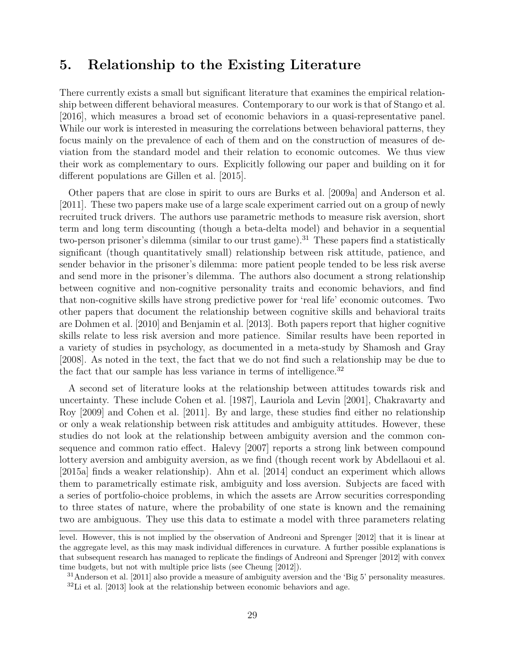### **5. Relationship to the Existing Literature**

There currently exists a small but significant literature that examines the empirical relationship between different behavioral measures. Contemporary to our work is that of Stango et al. [2016], which measures a broad set of economic behaviors in a quasi-representative panel. While our work is interested in measuring the correlations between behavioral patterns, they focus mainly on the prevalence of each of them and on the construction of measures of deviation from the standard model and their relation to economic outcomes. We thus view their work as complementary to ours. Explicitly following our paper and building on it for different populations are Gillen et al. [2015].

Other papers that are close in spirit to ours are Burks et al. [2009a] and Anderson et al. [2011]. These two papers make use of a large scale experiment carried out on a group of newly recruited truck drivers. The authors use parametric methods to measure risk aversion, short term and long term discounting (though a beta-delta model) and behavior in a sequential two-person prisoner's dilemma (similar to our trust game).<sup>31</sup> These papers find a statistically significant (though quantitatively small) relationship between risk attitude, patience, and sender behavior in the prisoner's dilemma: more patient people tended to be less risk averse and send more in the prisoner's dilemma. The authors also document a strong relationship between cognitive and non-cognitive personality traits and economic behaviors, and find that non-cognitive skills have strong predictive power for 'real life' economic outcomes. Two other papers that document the relationship between cognitive skills and behavioral traits are Dohmen et al. [2010] and Benjamin et al. [2013]. Both papers report that higher cognitive skills relate to less risk aversion and more patience. Similar results have been reported in a variety of studies in psychology, as documented in a meta-study by Shamosh and Gray [2008]. As noted in the text, the fact that we do not find such a relationship may be due to the fact that our sample has less variance in terms of intelligence. $32$ 

A second set of literature looks at the relationship between attitudes towards risk and uncertainty. These include Cohen et al. [1987], Lauriola and Levin [2001], Chakravarty and Roy [2009] and Cohen et al. [2011]. By and large, these studies find either no relationship or only a weak relationship between risk attitudes and ambiguity attitudes. However, these studies do not look at the relationship between ambiguity aversion and the common consequence and common ratio effect. Halevy [2007] reports a strong link between compound lottery aversion and ambiguity aversion, as we find (though recent work by Abdellaoui et al. [2015a] finds a weaker relationship). Ahn et al. [2014] conduct an experiment which allows them to parametrically estimate risk, ambiguity and loss aversion. Subjects are faced with a series of portfolio-choice problems, in which the assets are Arrow securities corresponding to three states of nature, where the probability of one state is known and the remaining two are ambiguous. They use this data to estimate a model with three parameters relating

level. However, this is not implied by the observation of Andreoni and Sprenger [2012] that it is linear at the aggregate level, as this may mask individual differences in curvature. A further possible explanations is that subsequent research has managed to replicate the findings of Andreoni and Sprenger [2012] with convex time budgets, but not with multiple price lists (see Cheung [2012]).

<sup>&</sup>lt;sup>31</sup>Anderson et al. [2011] also provide a measure of ambiguity aversion and the 'Big 5' personality measures.  $32$ Li et al. [2013] look at the relationship between economic behaviors and age.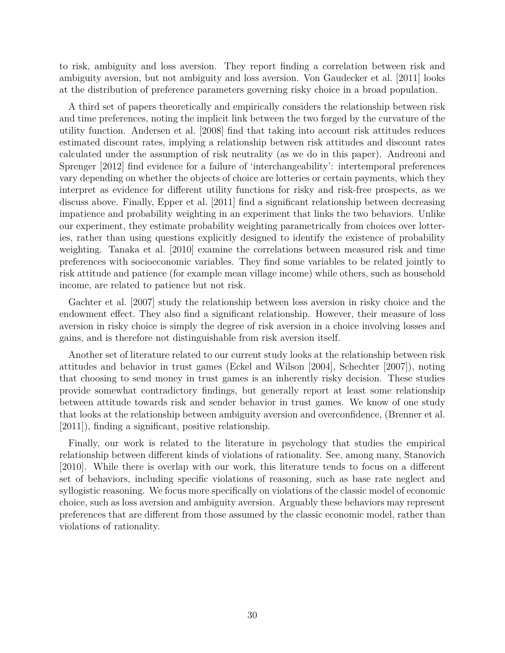to risk, ambiguity and loss aversion. They report finding a correlation between risk and ambiguity aversion, but not ambiguity and loss aversion. Von Gaudecker et al. [2011] looks at the distribution of preference parameters governing risky choice in a broad population.

A third set of papers theoretically and empirically considers the relationship between risk and time preferences, noting the implicit link between the two forged by the curvature of the utility function. Andersen et al. [2008] find that taking into account risk attitudes reduces estimated discount rates, implying a relationship between risk attitudes and discount rates calculated under the assumption of risk neutrality (as we do in this paper). Andreoni and Sprenger [2012] find evidence for a failure of 'interchangeability': intertemporal preferences vary depending on whether the objects of choice are lotteries or certain payments, which they interpret as evidence for different utility functions for risky and risk-free prospects, as we discuss above. Finally, Epper et al. [2011] find a significant relationship between decreasing impatience and probability weighting in an experiment that links the two behaviors. Unlike our experiment, they estimate probability weighting parametrically from choices over lotteries, rather than using questions explicitly designed to identify the existence of probability weighting. Tanaka et al. [2010] examine the correlations between measured risk and time preferences with socioeconomic variables. They find some variables to be related jointly to risk attitude and patience (for example mean village income) while others, such as household income, are related to patience but not risk.

Gachter et al. [2007] study the relationship between loss aversion in risky choice and the endowment effect. They also find a significant relationship. However, their measure of loss aversion in risky choice is simply the degree of risk aversion in a choice involving losses and gains, and is therefore not distinguishable from risk aversion itself.

Another set of literature related to our current study looks at the relationship between risk attitudes and behavior in trust games (Eckel and Wilson [2004], Schechter [2007]), noting that choosing to send money in trust games is an inherently risky decision. These studies provide somewhat contradictory findings, but generally report at least some relationship between attitude towards risk and sender behavior in trust games. We know of one study that looks at the relationship between ambiguity aversion and overconfidence, (Brenner et al. [2011]), finding a significant, positive relationship.

Finally, our work is related to the literature in psychology that studies the empirical relationship between different kinds of violations of rationality. See, among many, Stanovich [2010]. While there is overlap with our work, this literature tends to focus on a different set of behaviors, including specific violations of reasoning, such as base rate neglect and syllogistic reasoning. We focus more specifically on violations of the classic model of economic choice, such as loss aversion and ambiguity aversion. Arguably these behaviors may represent preferences that are different from those assumed by the classic economic model, rather than violations of rationality.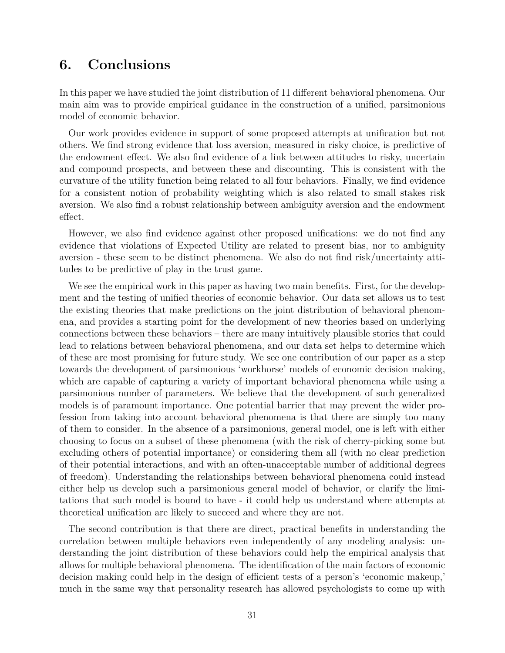### **6. Conclusions**

In this paper we have studied the joint distribution of 11 different behavioral phenomena. Our main aim was to provide empirical guidance in the construction of a unified, parsimonious model of economic behavior.

Our work provides evidence in support of some proposed attempts at unification but not others. We find strong evidence that loss aversion, measured in risky choice, is predictive of the endowment effect. We also find evidence of a link between attitudes to risky, uncertain and compound prospects, and between these and discounting. This is consistent with the curvature of the utility function being related to all four behaviors. Finally, we find evidence for a consistent notion of probability weighting which is also related to small stakes risk aversion. We also find a robust relationship between ambiguity aversion and the endowment effect.

However, we also find evidence against other proposed unifications: we do not find any evidence that violations of Expected Utility are related to present bias, nor to ambiguity aversion - these seem to be distinct phenomena. We also do not find risk/uncertainty attitudes to be predictive of play in the trust game.

We see the empirical work in this paper as having two main benefits. First, for the development and the testing of unified theories of economic behavior. Our data set allows us to test the existing theories that make predictions on the joint distribution of behavioral phenomena, and provides a starting point for the development of new theories based on underlying connections between these behaviors – there are many intuitively plausible stories that could lead to relations between behavioral phenomena, and our data set helps to determine which of these are most promising for future study. We see one contribution of our paper as a step towards the development of parsimonious 'workhorse' models of economic decision making, which are capable of capturing a variety of important behavioral phenomena while using a parsimonious number of parameters. We believe that the development of such generalized models is of paramount importance. One potential barrier that may prevent the wider profession from taking into account behavioral phenomena is that there are simply too many of them to consider. In the absence of a parsimonious, general model, one is left with either choosing to focus on a subset of these phenomena (with the risk of cherry-picking some but excluding others of potential importance) or considering them all (with no clear prediction of their potential interactions, and with an often-unacceptable number of additional degrees of freedom). Understanding the relationships between behavioral phenomena could instead either help us develop such a parsimonious general model of behavior, or clarify the limitations that such model is bound to have - it could help us understand where attempts at theoretical unification are likely to succeed and where they are not.

The second contribution is that there are direct, practical benefits in understanding the correlation between multiple behaviors even independently of any modeling analysis: understanding the joint distribution of these behaviors could help the empirical analysis that allows for multiple behavioral phenomena. The identification of the main factors of economic decision making could help in the design of efficient tests of a person's 'economic makeup,' much in the same way that personality research has allowed psychologists to come up with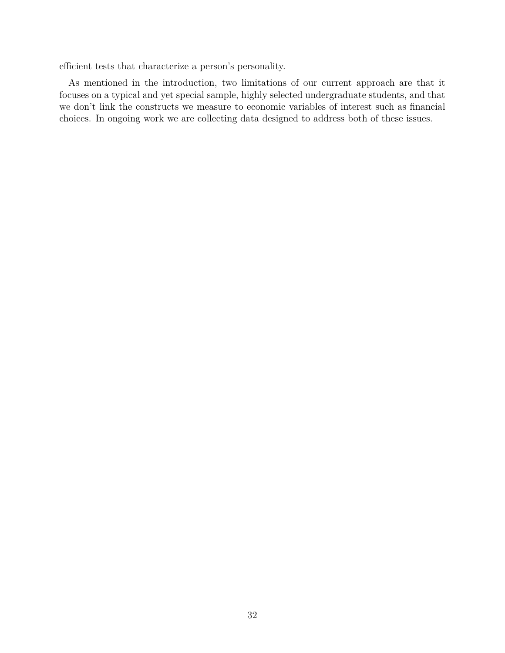efficient tests that characterize a person's personality.

As mentioned in the introduction, two limitations of our current approach are that it focuses on a typical and yet special sample, highly selected undergraduate students, and that we don't link the constructs we measure to economic variables of interest such as financial choices. In ongoing work we are collecting data designed to address both of these issues.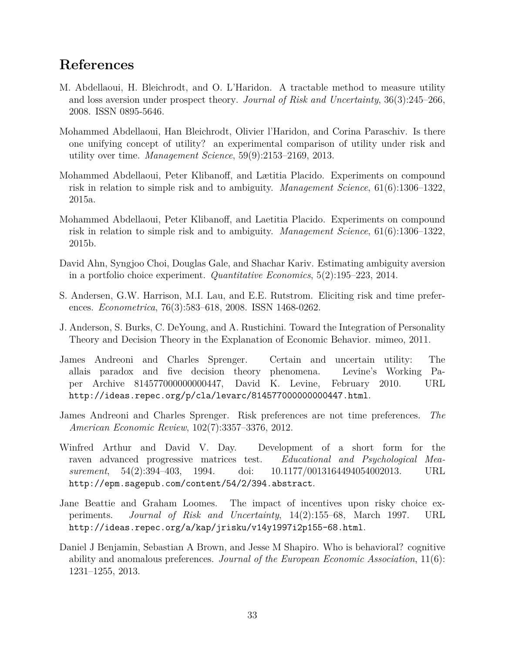### **References**

- M. Abdellaoui, H. Bleichrodt, and O. L'Haridon. A tractable method to measure utility and loss aversion under prospect theory. *Journal of Risk and Uncertainty*, 36(3):245–266, 2008. ISSN 0895-5646.
- Mohammed Abdellaoui, Han Bleichrodt, Olivier l'Haridon, and Corina Paraschiv. Is there one unifying concept of utility? an experimental comparison of utility under risk and utility over time. *Management Science*, 59(9):2153–2169, 2013.
- Mohammed Abdellaoui, Peter Klibanoff, and Lætitia Placido. Experiments on compound risk in relation to simple risk and to ambiguity. *Management Science*, 61(6):1306–1322, 2015a.
- Mohammed Abdellaoui, Peter Klibanoff, and Laetitia Placido. Experiments on compound risk in relation to simple risk and to ambiguity. *Management Science*, 61(6):1306–1322, 2015b.
- David Ahn, Syngjoo Choi, Douglas Gale, and Shachar Kariv. Estimating ambiguity aversion in a portfolio choice experiment. *Quantitative Economics*, 5(2):195–223, 2014.
- S. Andersen, G.W. Harrison, M.I. Lau, and E.E. Rutstrom. Eliciting risk and time preferences. *Econometrica*, 76(3):583–618, 2008. ISSN 1468-0262.
- J. Anderson, S. Burks, C. DeYoung, and A. Rustichini. Toward the Integration of Personality Theory and Decision Theory in the Explanation of Economic Behavior. mimeo, 2011.
- James Andreoni and Charles Sprenger. Certain and uncertain utility: The allais paradox and five decision theory phenomena. Levine's Working Paper Archive 814577000000000447, David K. Levine, February 2010. URL http://ideas.repec.org/p/cla/levarc/814577000000000447.html.
- James Andreoni and Charles Sprenger. Risk preferences are not time preferences. *The American Economic Review*, 102(7):3357–3376, 2012.
- Winfred Arthur and David V. Day. Development of a short form for the raven advanced progressive matrices test. *Educational and Psychological Measurement*, 54(2):394–403, 1994. doi: 10.1177/0013164494054002013. URL http://epm.sagepub.com/content/54/2/394.abstract.
- Jane Beattie and Graham Loomes. The impact of incentives upon risky choice experiments. *Journal of Risk and Uncertainty*, 14(2):155–68, March 1997. URL http://ideas.repec.org/a/kap/jrisku/v14y1997i2p155-68.html.
- Daniel J Benjamin, Sebastian A Brown, and Jesse M Shapiro. Who is behavioral? cognitive ability and anomalous preferences. *Journal of the European Economic Association*, 11(6): 1231–1255, 2013.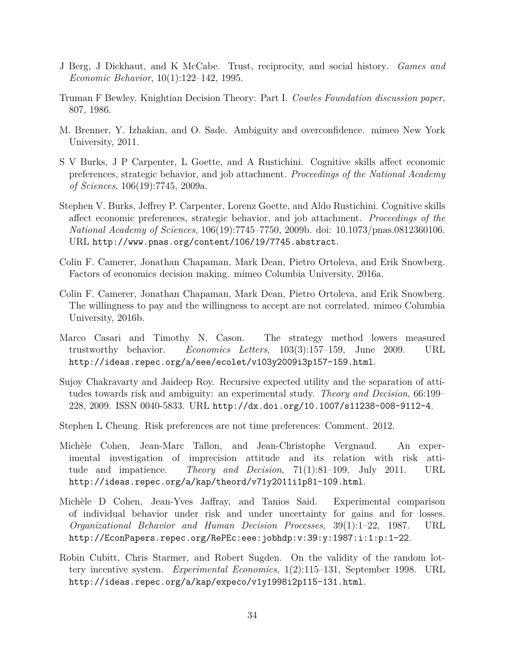- J Berg, J Dickhaut, and K McCabe. Trust, reciprocity, and social history. *Games and Economic Behavior*, 10(1):122–142, 1995.
- Truman F Bewley. Knightian Decision Theory: Part I. *Cowles Foundation discussion paper*, 807, 1986.
- M. Brenner, Y. Izhakian, and O. Sade. Ambiguity and overconfidence. mimeo New York University, 2011.
- S V Burks, J P Carpenter, L Goette, and A Rustichini. Cognitive skills affect economic preferences, strategic behavior, and job attachment. *Proceedings of the National Academy of Sciences*, 106(19):7745, 2009a.
- Stephen V. Burks, Jeffrey P. Carpenter, Lorenz Goette, and Aldo Rustichini. Cognitive skills affect economic preferences, strategic behavior, and job attachment. *Proceedings of the National Academy of Sciences*, 106(19):7745–7750, 2009b. doi: 10.1073/pnas.0812360106. URL http://www.pnas.org/content/106/19/7745.abstract.
- Colin F. Camerer, Jonathan Chapaman, Mark Dean, Pietro Ortoleva, and Erik Snowberg. Factors of economics decision making. mimeo Columbia University, 2016a.
- Colin F. Camerer, Jonathan Chapaman, Mark Dean, Pietro Ortoleva, and Erik Snowberg. The willingness to pay and the willingness to accept are not correlated. mimeo Columbia University, 2016b.
- Marco Casari and Timothy N. Cason. The strategy method lowers measured trustworthy behavior. *Economics Letters*, 103(3):157–159, June 2009. URL http://ideas.repec.org/a/eee/ecolet/v103y2009i3p157-159.html.
- Sujoy Chakravarty and Jaideep Roy. Recursive expected utility and the separation of attitudes towards risk and ambiguity: an experimental study. *Theory and Decision*, 66:199– 228, 2009. ISSN 0040-5833. URL http://dx.doi.org/10.1007/s11238-008-9112-4.
- Stephen L Cheung. Risk preferences are not time preferences: Comment. 2012.
- Michèle Cohen, Jean-Marc Tallon, and Jean-Christophe Vergnaud. An experimental investigation of imprecision attitude and its relation with risk attitude and impatience. *Theory and Decision*, 71(1):81–109, July 2011. URL http://ideas.repec.org/a/kap/theord/v71y2011i1p81-109.html.
- Michèle D Cohen, Jean-Yves Jaffray, and Tanios Said. Experimental comparison of individual behavior under risk and under uncertainty for gains and for losses. *Organizational Behavior and Human Decision Processes*, 39(1):1–22, 1987. URL http://EconPapers.repec.org/RePEc:eee:jobhdp:v:39:y:1987:i:1:p:1-22.
- Robin Cubitt, Chris Starmer, and Robert Sugden. On the validity of the random lottery incentive system. *Experimental Economics*, 1(2):115–131, September 1998. URL http://ideas.repec.org/a/kap/expeco/v1y1998i2p115-131.html.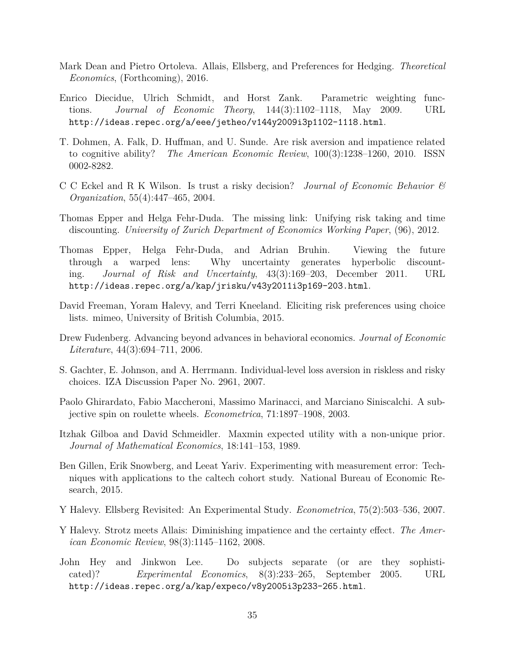- Mark Dean and Pietro Ortoleva. Allais, Ellsberg, and Preferences for Hedging. *Theoretical Economics*, (Forthcoming), 2016.
- Enrico Diecidue, Ulrich Schmidt, and Horst Zank. Parametric weighting functions. *Journal of Economic Theory*, 144(3):1102–1118, May 2009. URL http://ideas.repec.org/a/eee/jetheo/v144y2009i3p1102-1118.html.
- T. Dohmen, A. Falk, D. Huffman, and U. Sunde. Are risk aversion and impatience related to cognitive ability? *The American Economic Review*, 100(3):1238–1260, 2010. ISSN 0002-8282.
- C C Eckel and R K Wilson. Is trust a risky decision? *Journal of Economic Behavior & Organization*, 55(4):447–465, 2004.
- Thomas Epper and Helga Fehr-Duda. The missing link: Unifying risk taking and time discounting. *University of Zurich Department of Economics Working Paper*, (96), 2012.
- Thomas Epper, Helga Fehr-Duda, and Adrian Bruhin. Viewing the future through a warped lens: Why uncertainty generates hyperbolic discounting. *Journal of Risk and Uncertainty*, 43(3):169–203, December 2011. URL http://ideas.repec.org/a/kap/jrisku/v43y2011i3p169-203.html.
- David Freeman, Yoram Halevy, and Terri Kneeland. Eliciting risk preferences using choice lists. mimeo, University of British Columbia, 2015.
- Drew Fudenberg. Advancing beyond advances in behavioral economics. *Journal of Economic Literature*, 44(3):694–711, 2006.
- S. Gachter, E. Johnson, and A. Herrmann. Individual-level loss aversion in riskless and risky choices. IZA Discussion Paper No. 2961, 2007.
- Paolo Ghirardato, Fabio Maccheroni, Massimo Marinacci, and Marciano Siniscalchi. A subjective spin on roulette wheels. *Econometrica*, 71:1897–1908, 2003.
- Itzhak Gilboa and David Schmeidler. Maxmin expected utility with a non-unique prior. *Journal of Mathematical Economics*, 18:141–153, 1989.
- Ben Gillen, Erik Snowberg, and Leeat Yariv. Experimenting with measurement error: Techniques with applications to the caltech cohort study. National Bureau of Economic Research, 2015.
- Y Halevy. Ellsberg Revisited: An Experimental Study. *Econometrica*, 75(2):503–536, 2007.
- Y Halevy. Strotz meets Allais: Diminishing impatience and the certainty effect. *The American Economic Review*, 98(3):1145–1162, 2008.
- John Hey and Jinkwon Lee. Do subjects separate (or are they sophisticated)? *Experimental Economics*, 8(3):233–265, September 2005. URL http://ideas.repec.org/a/kap/expeco/v8y2005i3p233-265.html.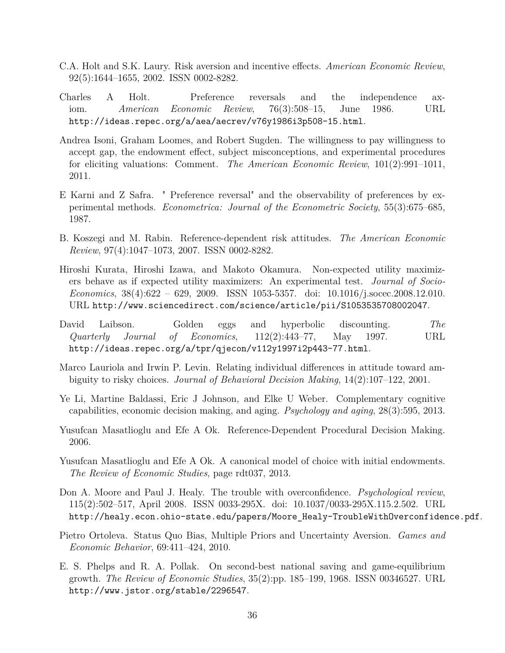- C.A. Holt and S.K. Laury. Risk aversion and incentive effects. *American Economic Review*, 92(5):1644–1655, 2002. ISSN 0002-8282.
- Charles A Holt. Preference reversals and the independence axiom. *American Economic Review*, 76(3):508–15, June 1986. URL http://ideas.repec.org/a/aea/aecrev/v76y1986i3p508-15.html.
- Andrea Isoni, Graham Loomes, and Robert Sugden. The willingness to pay willingness to accept gap, the endowment effect, subject misconceptions, and experimental procedures for eliciting valuations: Comment. *The American Economic Review*, 101(2):991–1011, 2011.
- E Karni and Z Safra. " Preference reversal" and the observability of preferences by experimental methods. *Econometrica: Journal of the Econometric Society*, 55(3):675–685, 1987.
- B. Koszegi and M. Rabin. Reference-dependent risk attitudes. *The American Economic Review*, 97(4):1047–1073, 2007. ISSN 0002-8282.
- Hiroshi Kurata, Hiroshi Izawa, and Makoto Okamura. Non-expected utility maximizers behave as if expected utility maximizers: An experimental test. *Journal of Socio-Economics*, 38(4):622 – 629, 2009. ISSN 1053-5357. doi: 10.1016/j.socec.2008.12.010. URL http://www.sciencedirect.com/science/article/pii/S1053535708002047.
- David Laibson. Golden eggs and hyperbolic discounting. *The Quarterly Journal of Economics*, 112(2):443–77, May 1997. URL http://ideas.repec.org/a/tpr/qjecon/v112y1997i2p443-77.html.
- Marco Lauriola and Irwin P. Levin. Relating individual differences in attitude toward ambiguity to risky choices. *Journal of Behavioral Decision Making*, 14(2):107–122, 2001.
- Ye Li, Martine Baldassi, Eric J Johnson, and Elke U Weber. Complementary cognitive capabilities, economic decision making, and aging. *Psychology and aging*, 28(3):595, 2013.
- Yusufcan Masatlioglu and Efe A Ok. Reference-Dependent Procedural Decision Making. 2006.
- Yusufcan Masatlioglu and Efe A Ok. A canonical model of choice with initial endowments. *The Review of Economic Studies*, page rdt037, 2013.
- Don A. Moore and Paul J. Healy. The trouble with overconfidence. *Psychological review*, 115(2):502–517, April 2008. ISSN 0033-295X. doi: 10.1037/0033-295X.115.2.502. URL http://healy.econ.ohio-state.edu/papers/Moore\_Healy-TroubleWithOverconfidence.pdf.
- Pietro Ortoleva. Status Quo Bias, Multiple Priors and Uncertainty Aversion. *Games and Economic Behavior*, 69:411–424, 2010.
- E. S. Phelps and R. A. Pollak. On second-best national saving and game-equilibrium growth. *The Review of Economic Studies*, 35(2):pp. 185–199, 1968. ISSN 00346527. URL http://www.jstor.org/stable/2296547.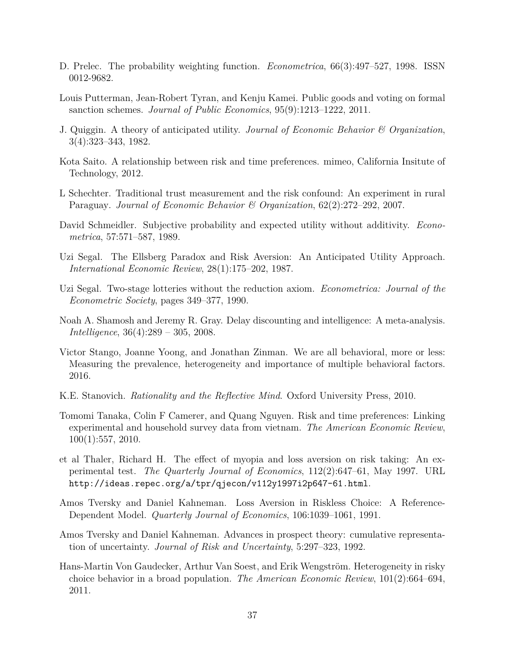- D. Prelec. The probability weighting function. *Econometrica*, 66(3):497–527, 1998. ISSN 0012-9682.
- Louis Putterman, Jean-Robert Tyran, and Kenju Kamei. Public goods and voting on formal sanction schemes. *Journal of Public Economics*, 95(9):1213–1222, 2011.
- J. Quiggin. A theory of anticipated utility. *Journal of Economic Behavior & Organization*, 3(4):323–343, 1982.
- Kota Saito. A relationship between risk and time preferences. mimeo, California Insitute of Technology, 2012.
- L Schechter. Traditional trust measurement and the risk confound: An experiment in rural Paraguay. *Journal of Economic Behavior & Organization*, 62(2):272–292, 2007.
- David Schmeidler. Subjective probability and expected utility without additivity. *Econometrica*, 57:571–587, 1989.
- Uzi Segal. The Ellsberg Paradox and Risk Aversion: An Anticipated Utility Approach. *International Economic Review*, 28(1):175–202, 1987.
- Uzi Segal. Two-stage lotteries without the reduction axiom. *Econometrica: Journal of the Econometric Society*, pages 349–377, 1990.
- Noah A. Shamosh and Jeremy R. Gray. Delay discounting and intelligence: A meta-analysis. *Intelligence*, 36(4):289 – 305, 2008.
- Victor Stango, Joanne Yoong, and Jonathan Zinman. We are all behavioral, more or less: Measuring the prevalence, heterogeneity and importance of multiple behavioral factors. 2016.
- K.E. Stanovich. *Rationality and the Reflective Mind*. Oxford University Press, 2010.
- Tomomi Tanaka, Colin F Camerer, and Quang Nguyen. Risk and time preferences: Linking experimental and household survey data from vietnam. *The American Economic Review*, 100(1):557, 2010.
- et al Thaler, Richard H. The effect of myopia and loss aversion on risk taking: An experimental test. *The Quarterly Journal of Economics*, 112(2):647–61, May 1997. URL http://ideas.repec.org/a/tpr/qjecon/v112y1997i2p647-61.html.
- Amos Tversky and Daniel Kahneman. Loss Aversion in Riskless Choice: A Reference-Dependent Model. *Quarterly Journal of Economics*, 106:1039–1061, 1991.
- Amos Tversky and Daniel Kahneman. Advances in prospect theory: cumulative representation of uncertainty. *Journal of Risk and Uncertainty*, 5:297–323, 1992.
- Hans-Martin Von Gaudecker, Arthur Van Soest, and Erik Wengström. Heterogeneity in risky choice behavior in a broad population. *The American Economic Review*, 101(2):664–694, 2011.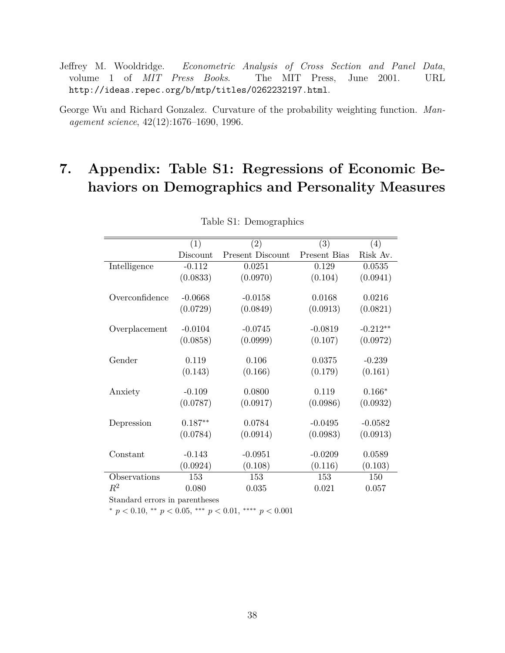Jeffrey M. Wooldridge. *Econometric Analysis of Cross Section and Panel Data*, volume 1 of *MIT Press Books*. The MIT Press, June 2001. URL http://ideas.repec.org/b/mtp/titles/0262232197.html.

# **7. Appendix: Table S1: Regressions of Economic Behaviors on Demographics and Personality Measures**

|                                | (1)       | (2)                     | (3)          | (4)        |
|--------------------------------|-----------|-------------------------|--------------|------------|
|                                | Discount  | <b>Present Discount</b> | Present Bias | Risk Av.   |
| Intelligence                   | $-0.112$  | 0.0251                  | 0.129        | 0.0535     |
|                                | (0.0833)  | (0.0970)                | (0.104)      | (0.0941)   |
|                                |           |                         |              |            |
| Overconfidence                 | $-0.0668$ | $-0.0158$               | 0.0168       | 0.0216     |
|                                | (0.0729)  | (0.0849)                | (0.0913)     | (0.0821)   |
|                                |           |                         |              |            |
| Overplacement                  | $-0.0104$ | $-0.0745$               | $-0.0819$    | $-0.212**$ |
|                                | (0.0858)  | (0.0999)                | (0.107)      | (0.0972)   |
|                                |           |                         |              |            |
| Gender                         | 0.119     | 0.106                   | 0.0375       | $-0.239$   |
|                                | (0.143)   | (0.166)                 | (0.179)      | (0.161)    |
| Anxiety                        | $-0.109$  | 0.0800                  | 0.119        | $0.166*$   |
|                                | (0.0787)  | (0.0917)                | (0.0986)     | (0.0932)   |
|                                |           |                         |              |            |
| Depression                     | $0.187**$ | 0.0784                  | $-0.0495$    | $-0.0582$  |
|                                | (0.0784)  | (0.0914)                | (0.0983)     | (0.0913)   |
|                                |           |                         |              |            |
| Constant                       | $-0.143$  | $-0.0951$               | $-0.0209$    | 0.0589     |
|                                | (0.0924)  | (0.108)                 | (0.116)      | (0.103)    |
| Observations                   | 153       | 153                     | 153          | 150        |
| $R^2$                          | 0.080     | 0.035                   | 0.021        | 0.057      |
| Standard errors in parentheses |           |                         |              |            |

Table S1: Demographics

<sup>∗</sup> *p <* 0*.*10, ∗∗ *p <* 0*.*05, ∗∗∗ *p <* 0*.*01, ∗∗∗∗ *p <* 0*.*001

George Wu and Richard Gonzalez. Curvature of the probability weighting function. *Management science*, 42(12):1676–1690, 1996.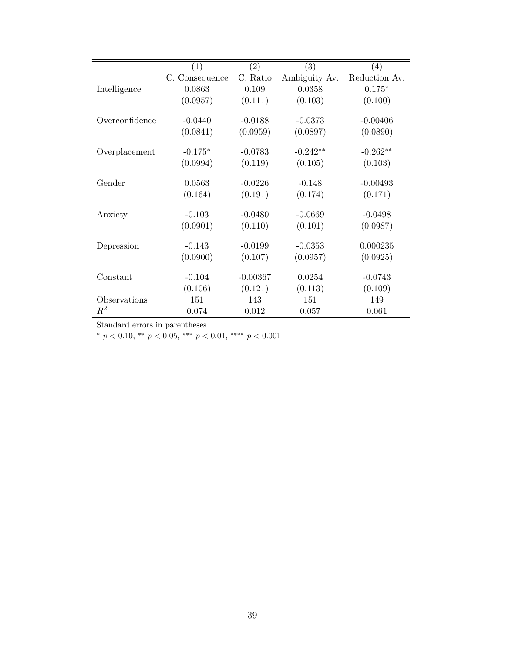|                | (1)            | (2)        | (3)           | (4)           |
|----------------|----------------|------------|---------------|---------------|
|                | C. Consequence | C. Ratio   | Ambiguity Av. | Reduction Av. |
| Intelligence   | 0.0863         | 0.109      | 0.0358        | $0.175*$      |
|                | (0.0957)       | (0.111)    | (0.103)       | (0.100)       |
| Overconfidence | $-0.0440$      | $-0.0188$  | $-0.0373$     | $-0.00406$    |
|                | (0.0841)       | (0.0959)   | (0.0897)      | (0.0890)      |
| Overplacement  | $-0.175*$      | $-0.0783$  | $-0.242**$    | $-0.262**$    |
|                | (0.0994)       | (0.119)    | (0.105)       | (0.103)       |
| Gender         | 0.0563         | $-0.0226$  | $-0.148$      | $-0.00493$    |
|                | (0.164)        | (0.191)    | (0.174)       | (0.171)       |
| Anxiety        | $-0.103$       | $-0.0480$  | $-0.0669$     | $-0.0498$     |
|                | (0.0901)       | (0.110)    | (0.101)       | (0.0987)      |
| Depression     | $-0.143$       | $-0.0199$  | $-0.0353$     | 0.000235      |
|                | (0.0900)       | (0.107)    | (0.0957)      | (0.0925)      |
| Constant       | $-0.104$       | $-0.00367$ | 0.0254        | $-0.0743$     |
|                | (0.106)        | (0.121)    | (0.113)       | (0.109)       |
| Observations   | 151            | 143        | 151           | 149           |
| $\,R^2$        | 0.074          | 0.012      | 0.057         | 0.061         |

Standard errors in parentheses

<sup>∗</sup> *p <* 0*.*10, ∗∗ *p <* 0*.*05, ∗∗∗ *p <* 0*.*01, ∗∗∗∗ *p <* 0*.*001